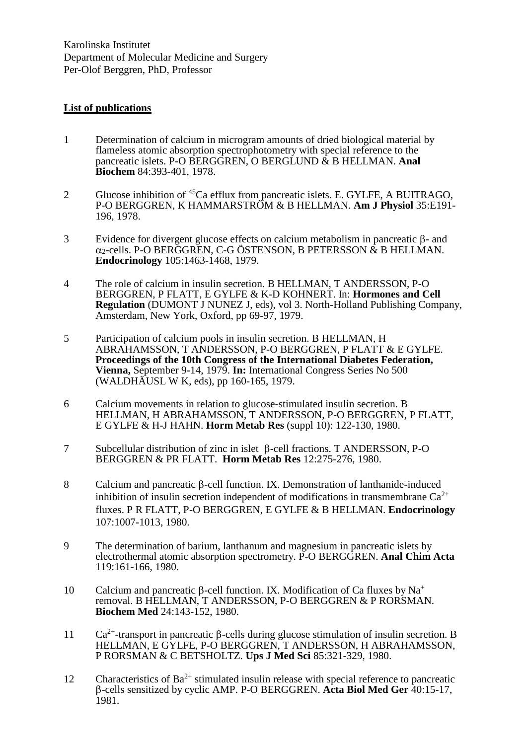Karolinska Institutet Department of Molecular Medicine and Surgery Per-Olof Berggren, PhD, Professor

## **List of publications**

- 1 Determination of calcium in microgram amounts of dried biological material by flameless atomic absorption spectrophotometry with special reference to the pancreatic islets. P-O BERGGREN, O BERGLUND & B HELLMAN. **Anal Biochem** 84:393-401, 1978.
- 2 Glucose inhibition of <sup>45</sup>Ca efflux from pancreatic islets. E. GYLFE, A BUITRAGO, P-O BERGGREN, K HAMMARSTRÖM & B HELLMAN. **Am J Physiol** 35:E191- 196, 1978.
- $3$  Evidence for divergent glucose effects on calcium metabolism in pancreatic  $\beta$  and  $\alpha_2$ -cells. P-O BERGGREN, C-G ÖSTENSON, B PETERSSON  $\&$  B HELLMAN. **Endocrinology** 105:1463-1468, 1979.
- 4 The role of calcium in insulin secretion. B HELLMAN, T ANDERSSON, P-O BERGGREN, P FLATT, E GYLFE & K-D KOHNERT. In: **Hormones and Cell Regulation** (DUMONT J NUNEZ J, eds), vol 3. North-Holland Publishing Company, Amsterdam, New York, Oxford, pp 69-97, 1979.
- 5 Participation of calcium pools in insulin secretion. B HELLMAN, H ABRAHAMSSON, T ANDERSSON, P-O BERGGREN, P FLATT & E GYLFE. **Proceedings of the 10th Congress of the International Diabetes Federation, Vienna,** September 9-14, 1979. **In:** International Congress Series No 500 (WALDHÄUSL W K, eds), pp 160-165, 1979.
- 6 Calcium movements in relation to glucose-stimulated insulin secretion. B HELLMAN, H ABRAHAMSSON, T ANDERSSON, P-O BERGGREN, P FLATT, E GYLFE & H-J HAHN. **Horm Metab Res** (suppl 10): 122-130, 1980.
- 7 Subcellular distribution of zinc in islet  $\beta$ -cell fractions. T ANDERSSON, P-O BERGGREN & PR FLATT. **Horm Metab Res** 12:275-276, 1980.
- 8 Calcium and pancreatic  $\beta$ -cell function. IX. Demonstration of lanthanide-induced inhibition of insulin secretion independent of modifications in transmembrane  $Ca^{2+}$ fluxes. P R FLATT, P-O BERGGREN, E GYLFE & B HELLMAN. **Endocrinology** 107:1007-1013, 1980.
- 9 The determination of barium, lanthanum and magnesium in pancreatic islets by electrothermal atomic absorption spectrometry. P-O BERGGREN. **Anal Chim Acta** 119:161-166, 1980.
- 10 Calcium and pancreatic  $\beta$ -cell function. IX. Modification of Ca fluxes by Na<sup>+</sup> removal. B HELLMAN, T ANDERSSON, P-O BERGGREN & P RORSMAN. **Biochem Med** 24:143-152, 1980.
- 11  $Ca^{2+}$ -transport in pancreatic  $\beta$ -cells during glucose stimulation of insulin secretion. B HELLMAN, E GYLFE, P-O BERGGREN, T ANDERSSON, H ABRAHAMSSON, P RORSMAN & C BETSHOLTZ. **Ups J Med Sci** 85:321-329, 1980.
- 12 Characteristics of  $Ba^{2+}$  stimulated insulin release with special reference to pancreatic -cells sensitized by cyclic AMP. P-O BERGGREN. **Acta Biol Med Ger** 40:15-17, 1981.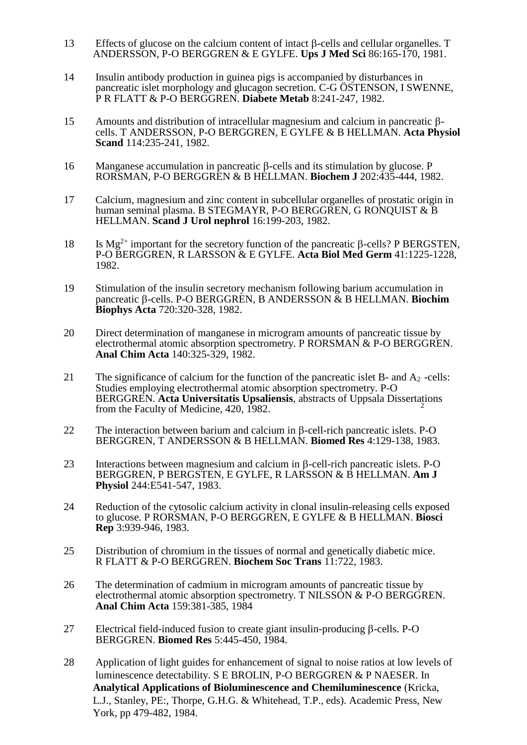- 13 Effects of glucose on the calcium content of intact  $\beta$ -cells and cellular organelles. T ANDERSSON, P-O BERGGREN & E GYLFE. **Ups J Med Sci** 86:165-170, 1981.
- 14 Insulin antibody production in guinea pigs is accompanied by disturbances in pancreatic islet morphology and glucagon secretion. C-G ÖSTENSON, I SWENNE, P R FLATT & P-O BERGGREN. **Diabete Metab** 8:241-247, 1982.
- 15 Amounts and distribution of intracellular magnesium and calcium in pancreatic  $\beta$ cells. T ANDERSSON, P-O BERGGREN, E GYLFE & B HELLMAN. **Acta Physiol Scand** 114:235-241, 1982.
- 16 Manganese accumulation in pancreatic  $\beta$ -cells and its stimulation by glucose. P RORSMAN, P-O BERGGREN & B HELLMAN. **Biochem J** 202:435-444, 1982.
- 17 Calcium, magnesium and zinc content in subcellular organelles of prostatic origin in human seminal plasma. B STEGMAYR, P-O BERGGREN, G RONOUIST & B HELLMAN. **Scand J Urol nephrol** 16:199-203, 1982.
- 18 Is Mg<sup>2+</sup> important for the secretory function of the pancreatic  $\beta$ -cells? P BERGSTEN, P-O BERGGREN, R LARSSON & E GYLFE. **Acta Biol Med Germ** 41:1225-1228, 1982.
- 19 Stimulation of the insulin secretory mechanism following barium accumulation in pancreatic β-cells. P-O BERGGREN, B ANDERSSON & B HELLMAN. Biochim **Biophys Acta** 720:320-328, 1982.
- 20 Direct determination of manganese in microgram amounts of pancreatic tissue by electrothermal atomic absorption spectrometry. P RORSMAN & P-O BERGGREN. **Anal Chim Acta** 140:325-329, 1982.
- 21 The significance of calcium for the function of the pancreatic islet B- and  $A_2$ -cells: BERGGREN. **Acta Universitatis Upsaliensis**, abstracts of Uppsala Dissertations from the Faculty of Medicine 420, 1982 Studies employing electrothermal atomic absorption spectrometry. P-O from the Faculty of Medicine, 420, 1982.
- 22 The interaction between barium and calcium in  $\beta$ -cell-rich pancreatic islets. P-O BERGGREN, T ANDERSSON & B HELLMAN. **Biomed Res** 4:129-138, 1983.
- 23 Interactions between magnesium and calcium in  $\beta$ -cell-rich pancreatic islets. P-O BERGGREN, P BERGSTEN, E GYLFE, R LARSSON & B HELLMAN. **Am J Physiol** 244:E541-547, 1983.
- 24 Reduction of the cytosolic calcium activity in clonal insulin-releasing cells exposed to glucose. P RORSMAN, P-O BERGGREN, E GYLFE & B HELLMAN. **Biosci Rep** 3:939-946, 1983.
- 25 Distribution of chromium in the tissues of normal and genetically diabetic mice. R FLATT & P-O BERGGREN. **Biochem Soc Trans** 11:722, 1983.
- 26 The determination of cadmium in microgram amounts of pancreatic tissue by electrothermal atomic absorption spectrometry. T NILSSON & P-O BERGGREN. **Anal Chim Acta** 159:381-385, 1984
- 27 Electrical field-induced fusion to create giant insulin-producing  $\beta$ -cells. P-O BERGGREN. **Biomed Res** 5:445-450, 1984.
- 28 Application of light guides for enhancement of signal to noise ratios at low levels of luminescence detectability. S E BROLIN, P-O BERGGREN & P NAESER. In  **Analytical Applications of Bioluminescence and Chemiluminescence** (Kricka, L.J., Stanley, PE:, Thorpe, G.H.G. & Whitehead, T.P., eds). Academic Press, New York, pp 479-482, 1984.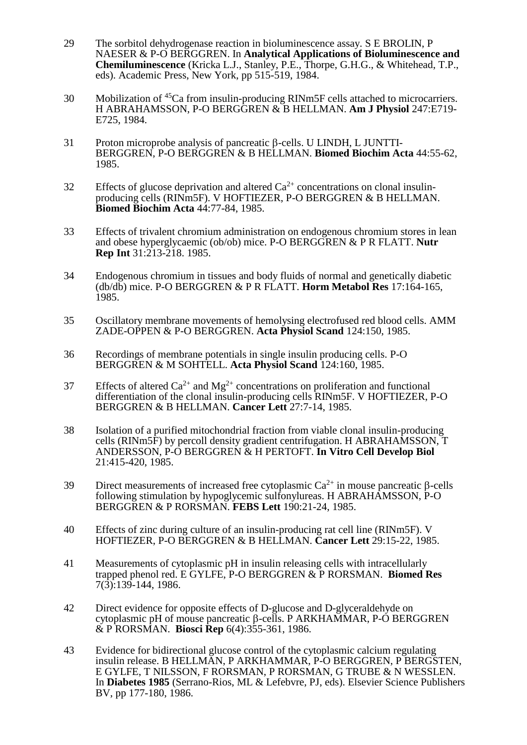- 29 The sorbitol dehydrogenase reaction in bioluminescence assay. S E BROLIN, P NAESER & P-O BERGGREN. In **Analytical Applications of Bioluminescence and Chemiluminescence** (Kricka L.J., Stanley, P.E., Thorpe, G.H.G., & Whitehead, T.P., eds). Academic Press, New York, pp 515-519, 1984.
- 30 Mobilization of <sup>45</sup>Ca from insulin-producing RINm5F cells attached to microcarriers. H ABRAHAMSSON, P-O BERGGREN & B HELLMAN. **Am J Physiol** 247:E719- E725, 1984.
- 31 Proton microprobe analysis of pancreatic  $\beta$ -cells. U LINDH, L JUNTTI-BERGGREN, P-O BERGGREN & B HELLMAN. **Biomed Biochim Acta** 44:55-62, 1985.
- 32 Effects of glucose deprivation and altered  $Ca^{2+}$  concentrations on clonal insulinproducing cells (RINm5F). V HOFTIEZER, P-O BERGGREN & B HELLMAN. **Biomed Biochim Acta** 44:77-84, 1985.
- 33 Effects of trivalent chromium administration on endogenous chromium stores in lean and obese hyperglycaemic (ob/ob) mice. P-O BERGGREN & P R FLATT. **Nutr Rep Int** 31:213-218. 1985.
- 34 Endogenous chromium in tissues and body fluids of normal and genetically diabetic (db/db) mice. P-O BERGGREN & P R FLATT. **Horm Metabol Res** 17:164-165, 1985.
- 35 Oscillatory membrane movements of hemolysing electrofused red blood cells. AMM ZADE-OPPEN & P-O BERGGREN. **Acta Physiol Scand** 124:150, 1985.
- 36 Recordings of membrane potentials in single insulin producing cells. P-O BERGGREN & M SOHTELL. **Acta Physiol Scand** 124:160, 1985.
- 37 Effects of altered  $Ca^{2+}$  and  $Mg^{2+}$  concentrations on proliferation and functional differentiation of the clonal insulin-producing cells RINm5F. V HOFTIEZER, P-O BERGGREN & B HELLMAN. **Cancer Lett** 27:7-14, 1985.
- 38 Isolation of a purified mitochondrial fraction from viable clonal insulin-producing cells (RINm5F) by percoll density gradient centrifugation. H ABRAHAMSSON, T ANDERSSON, P-O BERGGREN & H PERTOFT. **In Vitro Cell Develop Biol** 21:415-420, 1985.
- 39 Direct measurements of increased free cytoplasmic  $Ca^{2+}$  in mouse pancreatic  $\beta$ -cells following stimulation by hypoglycemic sulfonylureas. H ABRAHAMSSON, P-O BERGGREN & P RORSMAN. **FEBS Lett** 190:21-24, 1985.
- 40 Effects of zinc during culture of an insulin-producing rat cell line (RINm5F). V HOFTIEZER, P-O BERGGREN & B HELLMAN. **Cancer Lett** 29:15-22, 1985.
- 41 Measurements of cytoplasmic pH in insulin releasing cells with intracellularly trapped phenol red. E GYLFE, P-O BERGGREN & P RORSMAN. **Biomed Res** 7(3):139-144, 1986.
- 42 Direct evidence for opposite effects of D-glucose and D-glyceraldehyde on cytoplasmic pH of mouse pancreatic  $\beta$ -cells. P ARKHAMMAR, P-O BERGGREN & P RORSMAN. **Biosci Rep** 6(4):355-361, 1986.
- 43 Evidence for bidirectional glucose control of the cytoplasmic calcium regulating insulin release. B HELLMAN, P ARKHAMMAR, P-O BERGGREN, P BERGSTEN, E GYLFE, T NILSSON, F RORSMAN, P RORSMAN, G TRUBE & N WESSLEN. In **Diabetes 1985** (Serrano-Rios, ML & Lefebvre, PJ, eds). Elsevier Science Publishers BV, pp 177-180, 1986.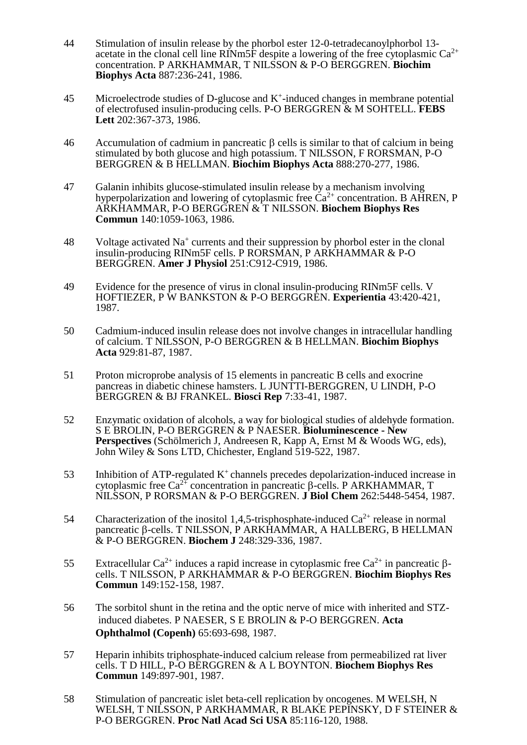- 44 Stimulation of insulin release by the phorbol ester 12-0-tetradecanoylphorbol 13 acetate in the clonal cell line RINm5F despite a lowering of the free cytoplasmic  $Ca^{2+}$ concentration. P ARKHAMMAR, T NILSSON & P-O BERGGREN. **Biochim Biophys Acta** 887:236-241, 1986.
- $45$  Microelectrode studies of D-glucose and K<sup>+</sup>-induced changes in membrane potential of electrofused insulin-producing cells. P-O BERGGREN & M SOHTELL. **FEBS Lett** 202:367-373, 1986.
- 46 Accumulation of cadmium in pancreatic  $\beta$  cells is similar to that of calcium in being stimulated by both glucose and high potassium. T NILSSON, F RORSMAN, P-O BERGGREN & B HELLMAN. **Biochim Biophys Acta** 888:270-277, 1986.
- 47 Galanin inhibits glucose-stimulated insulin release by a mechanism involving hyperpolarization and lowering of cytoplasmic free  $\text{Ca}^{2+}$  concentration. B AHREN, P ARKHAMMAR, P-O BERGGREN & T NILSSON. **Biochem Biophys Res Commun** 140:1059-1063, 1986.
- 48 Voltage activated Na<sup>+</sup> currents and their suppression by phorbol ester in the clonal insulin-producing RINm5F cells. P RORSMAN, P ARKHAMMAR & P-O BERGGREN. **Amer J Physiol** 251:C912-C919, 1986.
- 49 Evidence for the presence of virus in clonal insulin-producing RINm5F cells. V HOFTIEZER, P W BANKSTON & P-O BERGGREN. **Experientia** 43:420-421, 1987.
- 50 Cadmium-induced insulin release does not involve changes in intracellular handling of calcium. T NILSSON, P-O BERGGREN & B HELLMAN. **Biochim Biophys Acta** 929:81-87, 1987.
- 51 Proton microprobe analysis of 15 elements in pancreatic B cells and exocrine pancreas in diabetic chinese hamsters. L JUNTTI-BERGGREN, U LINDH, P-O BERGGREN & BJ FRANKEL. **Biosci Rep** 7:33-41, 1987.
- 52 Enzymatic oxidation of alcohols, a way for biological studies of aldehyde formation. S E BROLIN, P-O BERGGREN & P NAESER. **Bioluminescence - New Perspectives** (Schölmerich J, Andreesen R, Kapp A, Ernst M & Woods WG, eds), John Wiley & Sons LTD, Chichester, England 519-522, 1987.
- 53 Inhibition of ATP-regulated  $K^+$  channels precedes depolarization-induced increase in cytoplasmic free  $Ca^{2+}$  concentration in pancreatic  $\beta$ -cells. P ARKHAMMAR, T NILSSON, P RORSMAN & P-O BERGGREN. **J Biol Chem** 262:5448-5454, 1987.
- 54 Characterization of the inositol 1,4,5-trisphosphate-induced  $Ca^{2+}$  release in normal pancreatic  $\beta$ -cells. T NILSSON, P ARKHAMMAR, A HALLBERG, B HELLMAN & P-O BERGGREN. **Biochem J** 248:329-336, 1987.
- 55 Extracellular Ca<sup>2+</sup> induces a rapid increase in cytoplasmic free Ca<sup>2+</sup> in pancreatic  $\beta$ cells. T NILSSON, P ARKHAMMAR & P-O BERGGREN. **Biochim Biophys Res Commun** 149:152-158, 1987.
- 56 The sorbitol shunt in the retina and the optic nerve of mice with inherited and STZ induced diabetes. P NAESER, S E BROLIN & P-O BERGGREN. **Acta Ophthalmol (Copenh)** 65:693-698, 1987.
- 57 Heparin inhibits triphosphate-induced calcium release from permeabilized rat liver cells. T D HILL, P-O BERGGREN & A L BOYNTON. **Biochem Biophys Res Commun** 149:897-901, 1987.
- 58 Stimulation of pancreatic islet beta-cell replication by oncogenes. M WELSH, N WELSH, T NILSSON, P ARKHAMMAR, R BLAKE PEPINSKY, D F STEINER & P-O BERGGREN. **Proc Natl Acad Sci USA** 85:116-120, 1988.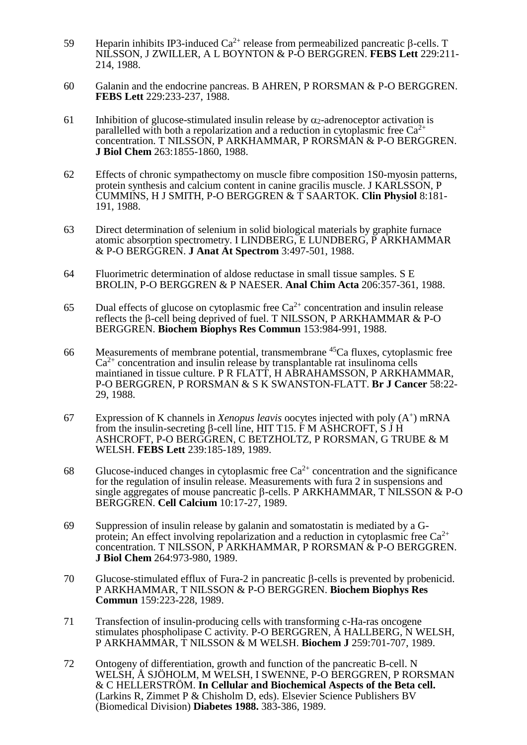- 59 Heparin inhibits IP3-induced  $Ca^{2+}$  release from permeabilized pancreatic  $\beta$ -cells. T NILSSON, J ZWILLER, A L BOYNTON & P-O BERGGREN. **FEBS Lett** 229:211- 214, 1988.
- 60 Galanin and the endocrine pancreas. B AHREN, P RORSMAN & P-O BERGGREN. **FEBS Lett** 229:233-237, 1988.
- 61 Inhibition of glucose-stimulated insulin release by  $\alpha_2$ -adrenoceptor activation is parallelled with both a repolarization and a reduction in cytoplasmic free  $Ca^{2+}$ concentration. T NILSSON, P ARKHAMMAR, P RORSMAN & P-O BERGGREN. **J Biol Chem** 263:1855-1860, 1988.
- 62 Effects of chronic sympathectomy on muscle fibre composition 1S0-myosin patterns, protein synthesis and calcium content in canine gracilis muscle. J KARLSSON, P CUMMINS, H J SMITH, P-O BERGGREN & T SAARTOK. **Clin Physiol** 8:181- 191, 1988.
- 63 Direct determination of selenium in solid biological materials by graphite furnace atomic absorption spectrometry. I LINDBERG, E LUNDBERG, P ARKHAMMAR & P-O BERGGREN. **J Anat At Spectrom** 3:497-501, 1988.
- 64 Fluorimetric determination of aldose reductase in small tissue samples. S E BROLIN, P-O BERGGREN & P NAESER. **Anal Chim Acta** 206:357-361, 1988.
- 65 Dual effects of glucose on cytoplasmic free  $Ca^{2+}$  concentration and insulin release reflects the  $\beta$ -cell being deprived of fuel. T NILSSON, P ARKHAMMAR & P-O BERGGREN. **Biochem Biophys Res Commun** 153:984-991, 1988.
- 66 Measurements of membrane potential, transmembrane <sup>45</sup>Ca fluxes, cytoplasmic free  $Ca<sup>2+</sup>$  concentration and insulin release by transplantable rat insulinoma cells maintianed in tissue culture. P R FLATT, H ABRAHAMSSON, P ARKHAMMAR, P-O BERGGREN, P RORSMAN & S K SWANSTON-FLATT. **Br J Cancer** 58:22- 29, 1988.
- 67 Expression of K channels in *Xenopus leavis* oocytes injected with poly (A<sup>+</sup>) mRNA from the insulin-secreting  $\beta$ -cell line, HIT T15. F M ASHCROFT, S J H ASHCROFT, P-O BERGGREN, C BETZHOLTZ, P RORSMAN, G TRUBE & M WELSH. **FEBS Lett** 239:185-189, 1989.
- 68 Glucose-induced changes in cytoplasmic free  $Ca^{2+}$  concentration and the significance for the regulation of insulin release. Measurements with fura 2 in suspensions and single aggregates of mouse pancreatic  $\beta$ -cells. P ARKHAMMAR, T NILSSON & P-O BERGGREN. **Cell Calcium** 10:17-27, 1989.
- 69 Suppression of insulin release by galanin and somatostatin is mediated by a Gprotein; An effect involving repolarization and a reduction in cytoplasmic free  $Ca^{2+}$ concentration. T NILSSON, P ARKHAMMAR, P RORSMAN & P-O BERGGREN. **J Biol Chem** 264:973-980, 1989.
- 70 Glucose-stimulated efflux of Fura-2 in pancreatic  $\beta$ -cells is prevented by probenicid. P ARKHAMMAR, T NILSSON & P-O BERGGREN. **Biochem Biophys Res Commun** 159:223-228, 1989.
- 71 Transfection of insulin-producing cells with transforming c-Ha-ras oncogene stimulates phospholipase C activity. P-O BERGGREN, A HALLBERG, N WELSH, P ARKHAMMAR, T NILSSON & M WELSH. **Biochem J** 259:701-707, 1989.
- 72 Ontogeny of differentiation, growth and function of the pancreatic B-cell. N WELSH, Å SJÖHOLM, M WELSH, I SWENNE, P-O BERGGREN, P RORSMAN & C HELLERSTRÖM. **In Cellular and Biochemical Aspects of the Beta cell.** (Larkins R, Zimmet P & Chisholm D, eds). Elsevier Science Publishers BV (Biomedical Division) **Diabetes 1988.** 383-386, 1989.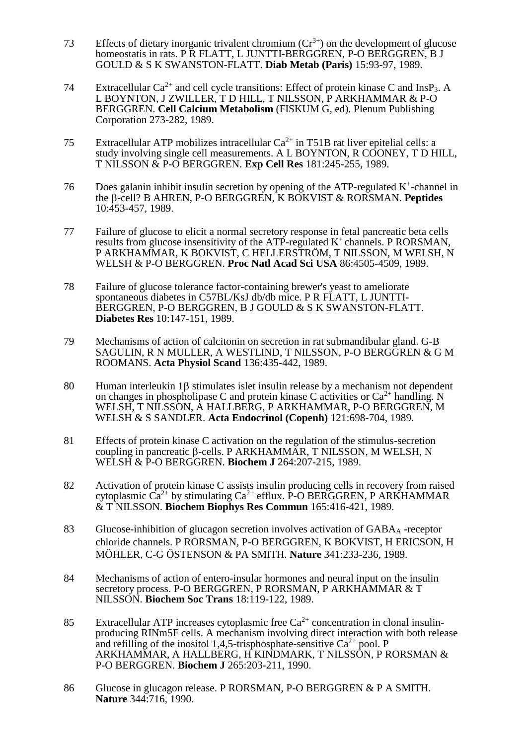- 73 Effects of dietary inorganic trivalent chromium  $(Cr^{3+})$  on the development of glucose homeostatis in rats. P R FLATT, L JUNTTI-BERGGREN, P-O BERGGREN, B J GOULD & S K SWANSTON-FLATT. **Diab Metab (Paris)** 15:93-97, 1989.
- 74 Extracellular  $Ca^{2+}$  and cell cycle transitions: Effect of protein kinase C and InsP<sub>3</sub>. A L BOYNTON, J ZWILLER, T D HILL, T NILSSON, P ARKHAMMAR & P-O BERGGREN. **Cell Calcium Metabolism** (FISKUM G, ed). Plenum Publishing Corporation 273-282, 1989.
- 75 Extracellular ATP mobilizes intracellular  $Ca^{2+}$  in T51B rat liver epitelial cells: a study involving single cell measurements. A L BOYNTON, R COONEY, T D HILL, T NILSSON & P-O BERGGREN. **Exp Cell Res** 181:245-255, 1989.
- 76 Does galanin inhibit insulin secretion by opening of the ATP-regulated  $K^+$ -channel in the β-cell? B AHREN, P-O BERGGREN, K BOKVIST & RORSMAN. **Peptides** 10:453-457, 1989.
- 77 Failure of glucose to elicit a normal secretory response in fetal pancreatic beta cells results from glucose insensitivity of the ATP-regulated  $K^+$  channels. P RORSMAN, P ARKHAMMAR, K BOKVIST, C HELLERSTRÖM, T NILSSON, M WELSH, N WELSH & P-O BERGGREN. **Proc Natl Acad Sci USA** 86:4505-4509, 1989.
- 78 Failure of glucose tolerance factor-containing brewer's yeast to ameliorate spontaneous diabetes in C57BL/KsJ db/db mice. P R FLATT, L JUNTTI-BERGGREN, P-O BERGGREN, B J GOULD & S K SWANSTON-FLATT. **Diabetes Res** 10:147-151, 1989.
- 79 Mechanisms of action of calcitonin on secretion in rat submandibular gland. G-B SAGULIN, R N MULLER, A WESTLIND, T NILSSON, P-O BERGGREN & G M ROOMANS. **Acta Physiol Scand** 136:435-442, 1989.
- 80 Human interleukin 1 $\beta$  stimulates islet insulin release by a mechanism not dependent on changes in phospholipase C and protein kinase C activities or  $Ca^{2+}$  handling. N WELSH, T NILSSON, A HALLBERG, P ARKHAMMAR, P-O BERGGREN, M WELSH & S SANDLER. **Acta Endocrinol (Copenh)** 121:698-704, 1989.
- 81 Effects of protein kinase C activation on the regulation of the stimulus-secretion coupling in pancreatic  $\beta$ -cells. P ARKHAMMAR, T NILSSON, M WELSH, N WELSH & P-O BERGGREN. **Biochem J** 264:207-215, 1989.
- 82 Activation of protein kinase C assists insulin producing cells in recovery from raised cytoplasmic  $\text{Ca}^{2+}$  by stimulating  $\text{Ca}^{2+}$  efflux. P-O BERGGREN, P ARKHAMMAR & T NILSSON. **Biochem Biophys Res Commun** 165:416-421, 1989.
- 83 Glucose-inhibition of glucagon secretion involves activation of GABA<sub>A</sub> -receptor chloride channels. P RORSMAN, P-O BERGGREN, K BOKVIST, H ERICSON, H MÖHLER, C-G ÖSTENSON & PA SMITH. **Nature** 341:233-236, 1989.
- 84 Mechanisms of action of entero-insular hormones and neural input on the insulin secretory process. P-O BERGGREN, P RORSMAN, P ARKHAMMAR & T NILSSON. **Biochem Soc Trans** 18:119-122, 1989.
- 85 Extracellular ATP increases cytoplasmic free  $Ca^{2+}$  concentration in clonal insulinproducing RINm5F cells. A mechanism involving direct interaction with both release and refilling of the inositol 1,4,5-trisphosphate-sensitive  $Ca^{2+}$  pool. P ARKHAMMAR, A HALLBERG, H KINDMARK, T NILSSON, P RORSMAN & P-O BERGGREN. **Biochem J** 265:203-211, 1990.
- 86 Glucose in glucagon release. P RORSMAN, P-O BERGGREN & P A SMITH. **Nature** 344:716, 1990.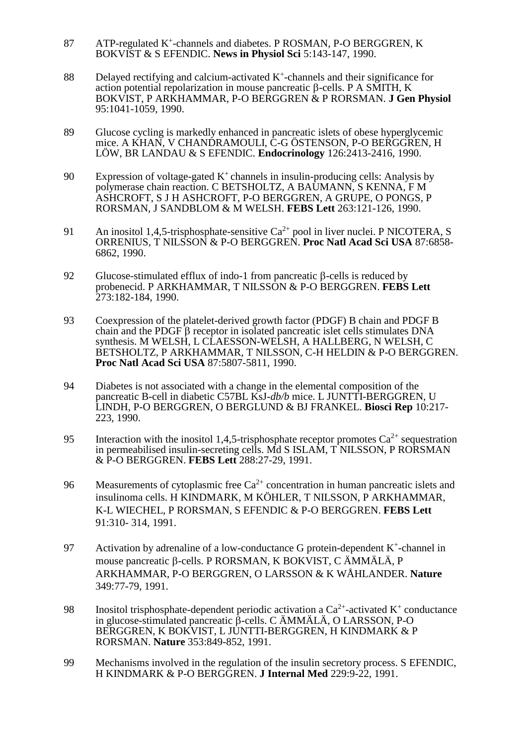- 87 ATP-regulated K<sup>+</sup>-channels and diabetes. P ROSMAN, P-O BERGGREN, K BOKVIST & S EFENDIC. **News in Physiol Sci** 5:143-147, 1990.
- 88 Delayed rectifying and calcium-activated  $K^+$ -channels and their significance for action potential repolarization in mouse pancreatic  $\beta$ -cells. P A SMITH, K BOKVIST, P ARKHAMMAR, P-O BERGGREN & P RORSMAN. **J Gen Physiol** 95:1041-1059, 1990.
- 89 Glucose cycling is markedly enhanced in pancreatic islets of obese hyperglycemic mice. A KHAN, V CHANDRAMOULI, C-G ÖSTENSON, P-O BERGGREN, H LÖW, BR LANDAU & S EFENDIC. **Endocrinology** 126:2413-2416, 1990.
- 90 Expression of voltage-gated  $K^+$  channels in insulin-producing cells: Analysis by polymerase chain reaction. C BETSHOLTZ, A BAUMANN, S KENNA, F M ASHCROFT, S J H ASHCROFT, P-O BERGGREN, A GRUPE, O PONGS, P RORSMAN, J SANDBLOM & M WELSH. **FEBS Lett** 263:121-126, 1990.
- 91 An inositol 1,4,5-trisphosphate-sensitive  $Ca^{2+}$  pool in liver nuclei. P NICOTERA, S ORRENIUS, T NILSSON & P-O BERGGREN. **Proc Natl Acad Sci USA** 87:6858- 6862, 1990.
- 92 Glucose-stimulated efflux of indo-1 from pancreatic  $\beta$ -cells is reduced by probenecid. P ARKHAMMAR, T NILSSON & P-O BERGGREN. **FEBS Lett** 273:182-184, 1990.
- 93 Coexpression of the platelet-derived growth factor (PDGF) B chain and PDGF B chain and the PDGF  $\beta$  receptor in isolated pancreatic islet cells stimulates DNA synthesis. M WELSH, L CLAESSON-WELSH, A HALLBERG, N WELSH, C BETSHOLTZ, P ARKHAMMAR, T NILSSON, C-H HELDIN & P-O BERGGREN. **Proc Natl Acad Sci USA** 87:5807-5811, 1990.
- 94 Diabetes is not associated with a change in the elemental composition of the pancreatic B-cell in diabetic C57BL KsJ-*db/b* mice. L JUNTTI-BERGGREN, U LINDH, P-O BERGGREN, O BERGLUND & BJ FRANKEL. **Biosci Rep** 10:217- 223, 1990.
- 95 Interaction with the inositol 1,4,5-trisphosphate receptor promotes  $Ca^{2+}$  sequestration in permeabilised insulin-secreting cells. Md S ISLAM, T NILSSON, P RORSMAN & P-O BERGGREN. **FEBS Lett** 288:27-29, 1991.
- 96 Measurements of cytoplasmic free  $Ca^{2+}$  concentration in human pancreatic islets and insulinoma cells. H KINDMARK, M KÖHLER, T NILSSON, P ARKHAMMAR, K-L WIECHEL, P RORSMAN, S EFENDIC & P-O BERGGREN. **FEBS Lett** 91:310- 314, 1991.
- 97 Activation by adrenaline of a low-conductance G protein-dependent  $K^+$ -channel in mouse pancreatic β-cells. P RORSMAN, K BOKVIST, C ÄMMÄLÄ, P ARKHAMMAR, P-O BERGGREN, O LARSSON & K WÅHLANDER. **Nature** 349:77-79, 1991.
- 98 Inositol trisphosphate-dependent periodic activation a  $Ca^{2+}$ -activated K<sup>+</sup> conductance in glucose-stimulated pancreatic  $\hat{\beta}$ -cells. C ÄMMÄLÄ, O LARSSON, P-O BERGGREN, K BOKVIST, L JUNTTI-BERGGREN, H KINDMARK & P RORSMAN. **Nature** 353:849-852, 1991.
- 99 Mechanisms involved in the regulation of the insulin secretory process. S EFENDIC, H KINDMARK & P-O BERGGREN. **J Internal Med** 229:9-22, 1991.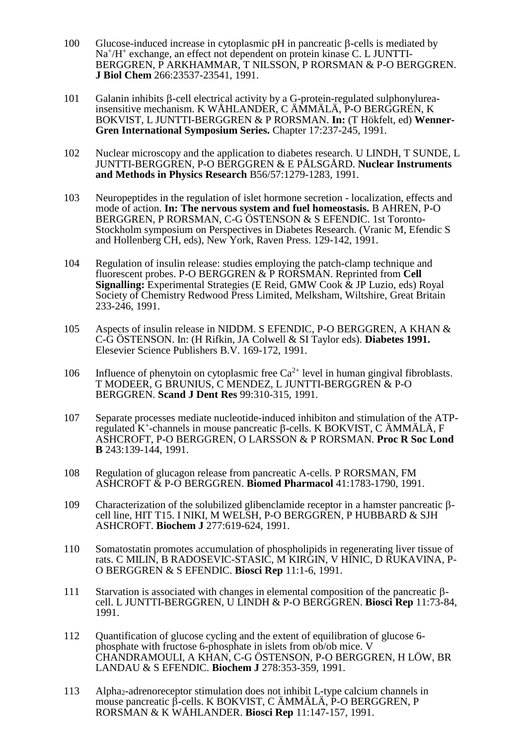- 100 Glucose-induced increase in cytoplasmic pH in pancreatic  $\beta$ -cells is mediated by Na<sup>+</sup>/H<sup>+</sup> exchange, an effect not dependent on protein kinase C. L JUNTTI-BERGGREN, P ARKHAMMAR, T NILSSON, P RORSMAN & P-O BERGGREN. **J Biol Chem** 266:23537-23541, 1991.
- 101 Galanin inhibits  $\beta$ -cell electrical activity by a G-protein-regulated sulphonylureainsensitive mechanism. K WÅHLANDER, C ÄMMÄLÄ, P-O BERGGREN, K BOKVIST, L JUNTTI-BERGGREN & P RORSMAN. **In:** (T Hökfelt, ed) **Wenner-Gren International Symposium Series.** Chapter 17:237-245, 1991.
- 102 Nuclear microscopy and the application to diabetes research. U LINDH, T SUNDE, L JUNTTI-BERGGREN, P-O BERGGREN & E PÅLSGÅRD. **Nuclear Instruments and Methods in Physics Research** B56/57:1279-1283, 1991.
- 103 Neuropeptides in the regulation of islet hormone secretion localization, effects and mode of action. **In: The nervous system and fuel homeostasis.** B AHREN, P-O BERGGREN, P RORSMAN, C-G ÖSTENSON & S EFENDIC. 1st Toronto-Stockholm symposium on Perspectives in Diabetes Research. (Vranic M, Efendic S and Hollenberg CH, eds), New York, Raven Press. 129-142, 1991.
- 104 Regulation of insulin release: studies employing the patch-clamp technique and fluorescent probes. P-O BERGGREN & P RORSMAN. Reprinted from **Cell Signalling:** Experimental Strategies (E Reid, GMW Cook & JP Luzio, eds) Royal Society of Chemistry Redwood Press Limited, Melksham, Wiltshire, Great Britain 233-246, 1991.
- 105 Aspects of insulin release in NIDDM. S EFENDIC, P-O BERGGREN, A KHAN & C-G ÖSTENSON. In: (H Rifkin, JA Colwell & SI Taylor eds). **Diabetes 1991.** Elesevier Science Publishers B.V. 169-172, 1991.
- 106 Influence of phenytoin on cytoplasmic free  $Ca^{2+}$  level in human gingival fibroblasts. T MODEER, G BRUNIUS, C MENDEZ, L JUNTTI-BERGGREN & P-O BERGGREN. **Scand J Dent Res** 99:310-315, 1991.
- 107 Separate processes mediate nucleotide-induced inhibiton and stimulation of the ATPregulated  $K^+$ -channels in mouse pancreatic  $\beta$ -cells. K BOKVIST, C ÄMMÄLÄ, F ASHCROFT, P-O BERGGREN, O LARSSON & P RORSMAN. **Proc R Soc Lond B** 243:139-144, 1991.
- 108 Regulation of glucagon release from pancreatic A-cells. P RORSMAN, FM ASHCROFT & P-O BERGGREN. **Biomed Pharmacol** 41:1783-1790, 1991.
- 109 Characterization of the solubilized glibenclamide receptor in a hamster pancreatic  $\beta$ cell line, HIT T15. I NIKI, M WELSH, P-O BERGGREN, P HUBBARD & SJH ASHCROFT. **Biochem J** 277:619-624, 1991.
- 110 Somatostatin promotes accumulation of phospholipids in regenerating liver tissue of rats. C MILIN, B RADOSEVIC-STASIC, M KIRGIN, V HINIC, D RUKAVINA, P-O BERGGREN & S EFENDIC. **Biosci Rep** 11:1-6, 1991.
- 111 Starvation is associated with changes in elemental composition of the pancreatic  $\beta$ cell. L JUNTTI-BERGGREN, U LINDH & P-O BERGGREN. **Biosci Rep** 11:73-84, 1991.
- 112 Quantification of glucose cycling and the extent of equilibration of glucose 6 phosphate with fructose 6-phosphate in islets from ob/ob mice. V CHANDRAMOULI, A KHAN, C-G ÖSTENSON, P-O BERGGREN, H LÖW, BR LANDAU & S EFENDIC. **Biochem J** 278:353-359, 1991.
- 113 Alpha2-adrenoreceptor stimulation does not inhibit L-type calcium channels in mouse pancreatic  $\hat{\beta}$ -cells. K BOKVIST, C ÄMMÄLÄ, P-O BERGGREN, P RORSMAN & K WÅHLANDER. **Biosci Rep** 11:147-157, 1991.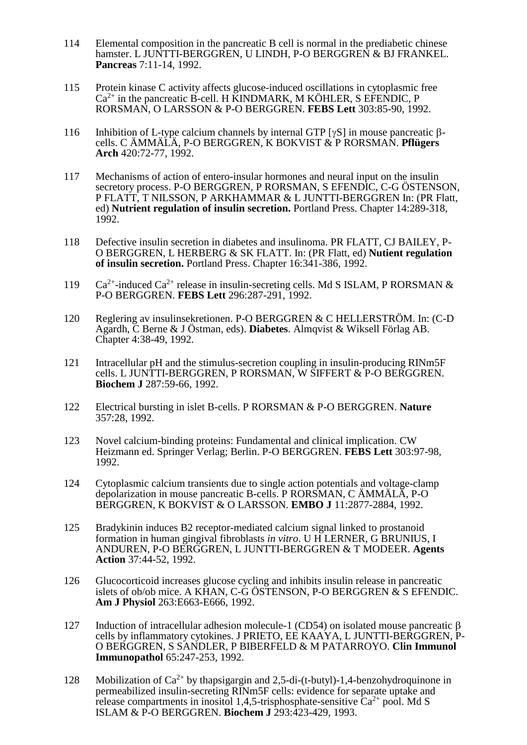- 114 Elemental composition in the pancreatic B cell is normal in the prediabetic chinese hamster. L JUNTTI-BERGGREN, U LINDH, P-O BERGGREN & BJ FRANKEL. **Pancreas** 7:11-14, 1992.
- 115 Protein kinase C activity affects glucose-induced oscillations in cytoplasmic free  $Ca<sup>2+</sup>$  in the pancreatic B-cell. H KINDMARK, M KÖHLER, S EFENDIC, P RORSMAN, O LARSSON & P-O BERGGREN. **FEBS Lett** 303:85-90, 1992.
- 116 Inhibition of L-type calcium channels by internal GTP [ $\gamma S$ ] in mouse pancreatic  $\beta$ cells. C ÄMMÄLÄ, P-O BERGGREN, K BOKVIST & P RORSMAN. **Pflügers Arch** 420:72-77, 1992.
- 117 Mechanisms of action of entero-insular hormones and neural input on the insulin secretory process. P-O BERGGREN, P RORSMAN, S EFENDIC, C-G ÖSTENSON, P FLATT, T NILSSON, P ARKHAMMAR & L JUNTTI-BERGGREN In: (PR Flatt, ed) **Nutrient regulation of insulin secretion.** Portland Press. Chapter 14:289-318, 1992.
- 118 Defective insulin secretion in diabetes and insulinoma. PR FLATT, CJ BAILEY, P-O BERGGREN, L HERBERG & SK FLATT. In: (PR Flatt, ed) **Nutient regulation of insulin secretion.** Portland Press. Chapter 16:341-386, 1992.
- 119 Ca<sup>2+</sup>-induced Ca<sup>2+</sup> release in insulin-secreting cells. Md S ISLAM, P RORSMAN & P-O BERGGREN. **FEBS Lett** 296:287-291, 1992.
- 120 Reglering av insulinsekretionen. P-O BERGGREN & C HELLERSTRÖM. In: (C-D Agardh, C Berne & J Östman, eds). **Diabetes**. Almqvist & Wiksell Förlag AB. Chapter 4:38-49, 1992.
- 121 Intracellular pH and the stimulus-secretion coupling in insulin-producing RINm5F cells. L JUNTTI-BERGGREN, P RORSMAN, W SIFFERT & P-O BERGGREN. **Biochem J** 287:59-66, 1992.
- 122 Electrical bursting in islet B-cells. P RORSMAN & P-O BERGGREN. **Nature** 357:28, 1992.
- 123 Novel calcium-binding proteins: Fundamental and clinical implication. CW Heizmann ed. Springer Verlag; Berlin. P-O BERGGREN. **FEBS Lett** 303:97-98, 1992.
- 124 Cytoplasmic calcium transients due to single action potentials and voltage-clamp depolarization in mouse pancreatic B-cells. P RORSMAN, C ÄMMÄLÄ, P-O BERGGREN, K BOKVIST & O LARSSON. **EMBO J** 11:2877-2884, 1992.
- 125 Bradykinin induces B2 receptor-mediated calcium signal linked to prostanoid formation in human gingival fibroblasts *in vitro*. U H LERNER, G BRUNIUS, I ANDUREN, P-O BERGGREN, L JUNTTI-BERGGREN & T MODEER. **Agents Action** 37:44-52, 1992.
- 126 Glucocorticoid increases glucose cycling and inhibits insulin release in pancreatic islets of ob/ob mice. A KHAN, C-G ÖSTENSON, P-O BERGGREN & S EFENDIC. **Am J Physiol** 263:E663-E666, 1992.
- 127 Induction of intracellular adhesion molecule-1 (CD54) on isolated mouse pancreatic  $\beta$ cells by inflammatory cytokines. J PRIETO, EE KAAYA, L JUNTTI-BERGGREN, P-O BERGGREN, S SANDLER, P BIBERFELD & M PATARROYO. **Clin Immunol Immunopathol** 65:247-253, 1992.
- 128 Mobilization of  $Ca^{2+}$  by thapsigargin and 2,5-di-(t-butyl)-1,4-benzohydroquinone in permeabilized insulin-secreting RINm5F cells: evidence for separate uptake and release compartments in inositol 1,4,5-trisphosphate-sensitive  $Ca^{2+}$  pool. Md S ISLAM & P-O BERGGREN. **Biochem J** 293:423-429, 1993.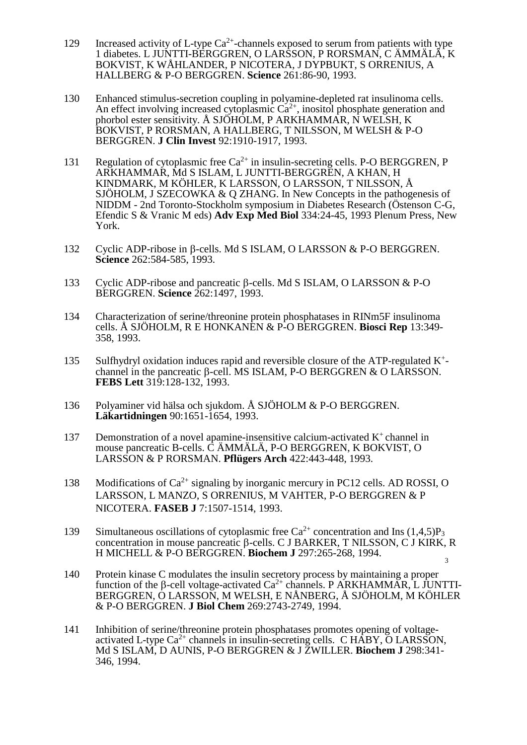- 129 Increased activity of L-type  $Ca^{2+}$ -channels exposed to serum from patients with type 1 diabetes. L JUNTTI-BERGGREN, O LARSSON, P RORSMAN, C ÄMMÄLÄ, K BOKVIST, K WÅHLANDER, P NICOTERA, J DYPBUKT, S ORRENIUS, A HALLBERG & P-O BERGGREN. **Science** 261:86-90, 1993.
- 130 Enhanced stimulus-secretion coupling in polyamine-depleted rat insulinoma cells. An effect involving increased cytoplasmic  $Ca^{2+}$ , inositol phosphate generation and phorbol ester sensitivity. Å SJÖHOLM, P ARKHAMMAR, N WELSH, K BOKVIST, P RORSMAN, A HALLBERG, T NILSSON, M WELSH & P-O BERGGREN. **J Clin Invest** 92:1910-1917, 1993.
- 131 Regulation of cytoplasmic free  $Ca^{2+}$  in insulin-secreting cells. P-O BERGGREN, P ARKHAMMAR, Md S ISLAM, L JUNTTI-BERGGREN, A KHAN, H KINDMARK, M KÖHLER, K LARSSON, O LARSSON, T NILSSON, Å SJÖHOLM, J SZECOWKA & Q ZHANG. In New Concepts in the pathogenesis of NIDDM - 2nd Toronto-Stockholm symposium in Diabetes Research (Östenson C-G, Efendic S & Vranic M eds) **Adv Exp Med Biol** 334:24-45, 1993 Plenum Press, New York.
- 132 Cyclic ADP-ribose in  $\beta$ -cells. Md S ISLAM, O LARSSON & P-O BERGGREN. **Science** 262:584-585, 1993.
- 133 Cyclic ADP-ribose and pancreatic  $\beta$ -cells. Md S ISLAM, O LARSSON & P-O BERGGREN. **Science** 262:1497, 1993.
- 134 Characterization of serine/threonine protein phosphatases in RINm5F insulinoma cells. Å SJÖHOLM, R E HONKANEN & P-O BERGGREN. **Biosci Rep** 13:349- 358, 1993.
- 135 Sulfhydryl oxidation induces rapid and reversible closure of the ATP-regulated K<sup>+</sup> channel in the pancreatic  $\beta$ -cell. MS ISLAM, P-O BERGGREN & O LARSSON. **FEBS Lett** 319:128-132, 1993.
- 136 Polyaminer vid hälsa och sjukdom. Å SJÖHOLM & P-O BERGGREN. **Läkartidningen** 90:1651-1654, 1993.
- 137 Demonstration of a novel apamine-insensitive calcium-activated  $K^+$  channel in mouse pancreatic B-cells. C ÄMMÄLÄ, P-O BERGGREN, K BOKVIST, O LARSSON & P RORSMAN. **Pflügers Arch** 422:443-448, 1993.
- 138 Modifications of  $Ca^{2+}$  signaling by inorganic mercury in PC12 cells. AD ROSSI, O LARSSON, L MANZO, S ORRENIUS, M VAHTER, P-O BERGGREN & P NICOTERA. **FASEB J** 7:1507-1514, 1993.
- 139 Simultaneous oscillations of cytoplasmic free  $Ca^{2+}$  concentration and Ins  $(1,4,5)P_3$ 3 concentration in mouse pancreatic  $\beta$ -cells. C J BARKER, T NILSSON, C J KIRK, R H MICHELL & P-O BERGGREN. **Biochem J** 297:265-268, 1994.
- 140 Protein kinase C modulates the insulin secretory process by maintaining a proper function of the  $\beta$ -cell voltage-activated Ca<sup>2+</sup> channels. P ARKHAMMAR, L JUNTTI-BERGGREN, O LARSSON, M WELSH, E NÅNBERG, Å SJÖHOLM, M KÖHLER & P-O BERGGREN. **J Biol Chem** 269:2743-2749, 1994.
- 141 Inhibition of serine/threonine protein phosphatases promotes opening of voltageactivated L-type  $Ca^{2+}$  channels in insulin-secreting cells. C HABY, O LARSSON, Md S ISLAM, D AUNIS, P-O BERGGREN & J ZWILLER. **Biochem J** 298:341- 346, 1994.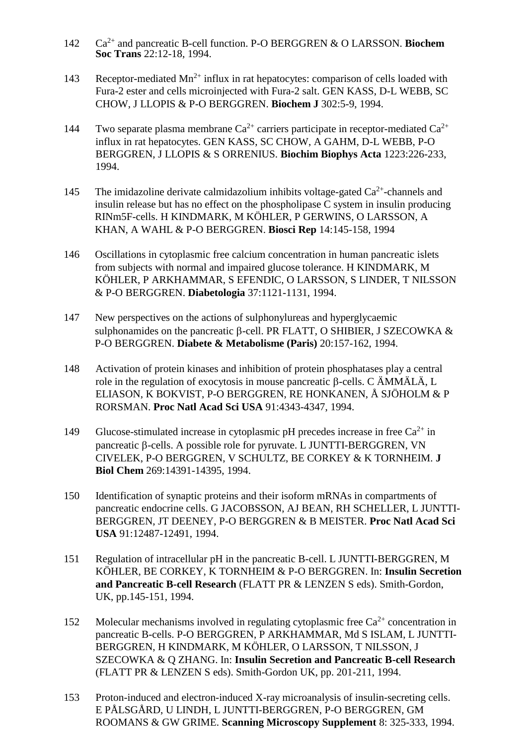- 142 Ca2+ and pancreatic B-cell function. P-O BERGGREN & O LARSSON. **Biochem Soc Trans** 22:12-18, 1994.
- 143 Receptor-mediated  $Mn^{2+}$  influx in rat hepatocytes: comparison of cells loaded with Fura-2 ester and cells microinjected with Fura-2 salt. GEN KASS, D-L WEBB, SC CHOW, J LLOPIS & P-O BERGGREN. **Biochem J** 302:5-9, 1994.
- 144 Two separate plasma membrane  $Ca^{2+}$  carriers participate in receptor-mediated  $Ca^{2+}$ influx in rat hepatocytes. GEN KASS, SC CHOW, A GAHM, D-L WEBB, P-O BERGGREN, J LLOPIS & S ORRENIUS. **Biochim Biophys Acta** 1223:226-233, 1994.
- 145 The imidazoline derivate calmidazolium inhibits voltage-gated  $Ca^{2+}$ -channels and insulin release but has no effect on the phospholipase C system in insulin producing RINm5F-cells. H KINDMARK, M KÖHLER, P GERWINS, O LARSSON, A KHAN, A WAHL & P-O BERGGREN. **Biosci Rep** 14:145-158, 1994
- 146 Oscillations in cytoplasmic free calcium concentration in human pancreatic islets from subjects with normal and impaired glucose tolerance. H KINDMARK, M KÖHLER, P ARKHAMMAR, S EFENDIC, O LARSSON, S LINDER, T NILSSON & P-O BERGGREN. **Diabetologia** 37:1121-1131, 1994.
- 147 New perspectives on the actions of sulphonylureas and hyperglycaemic sulphonamides on the pancreatic  $\beta$ -cell. PR FLATT, O SHIBIER, J SZECOWKA & P-O BERGGREN. **Diabete & Metabolisme (Paris)** 20:157-162, 1994.
- 148 Activation of protein kinases and inhibition of protein phosphatases play a central role in the regulation of exocytosis in mouse pancreatic  $\beta$ -cells. C AMMALA, L ELIASON, K BOKVIST, P-O BERGGREN, RE HONKANEN, Å SJÖHOLM & P RORSMAN. **Proc Natl Acad Sci USA** 91:4343-4347, 1994.
- 149 Glucose-stimulated increase in cytoplasmic pH precedes increase in free  $Ca^{2+}$  in pancreatic  $\beta$ -cells. A possible role for pyruvate. L JUNTTI-BERGGREN, VN CIVELEK, P-O BERGGREN, V SCHULTZ, BE CORKEY & K TORNHEIM. **J Biol Chem** 269:14391-14395, 1994.
- 150 Identification of synaptic proteins and their isoform mRNAs in compartments of pancreatic endocrine cells. G JACOBSSON, AJ BEAN, RH SCHELLER, L JUNTTI-BERGGREN, JT DEENEY, P-O BERGGREN & B MEISTER. **Proc Natl Acad Sci USA** 91:12487-12491, 1994.
- 151 Regulation of intracellular pH in the pancreatic B-cell. L JUNTTI-BERGGREN, M KÖHLER, BE CORKEY, K TORNHEIM & P-O BERGGREN. In: **Insulin Secretion and Pancreatic B-cell Research** (FLATT PR & LENZEN S eds). Smith-Gordon, UK, pp.145-151, 1994.
- 152 Molecular mechanisms involved in regulating cytoplasmic free  $Ca^{2+}$  concentration in pancreatic B-cells. P-O BERGGREN, P ARKHAMMAR, Md S ISLAM, L JUNTTI-BERGGREN, H KINDMARK, M KÖHLER, O LARSSON, T NILSSON, J SZECOWKA & Q ZHANG. In: **Insulin Secretion and Pancreatic B-cell Research**  (FLATT PR & LENZEN S eds). Smith-Gordon UK, pp. 201-211, 1994.
- 153 Proton-induced and electron-induced X-ray microanalysis of insulin-secreting cells. E PÅLSGÅRD, U LINDH, L JUNTTI-BERGGREN, P-O BERGGREN, GM ROOMANS & GW GRIME. **Scanning Microscopy Supplement** 8: 325-333, 1994.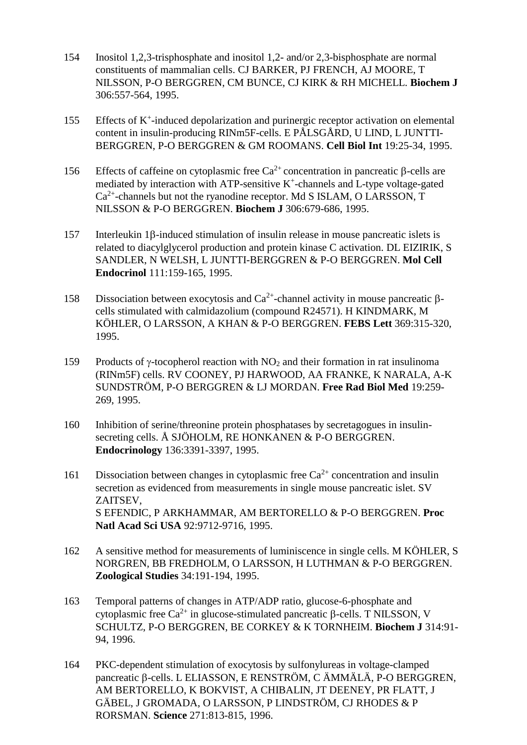- 154 Inositol 1,2,3-trisphosphate and inositol 1,2- and/or 2,3-bisphosphate are normal constituents of mammalian cells. CJ BARKER, PJ FRENCH, AJ MOORE, T NILSSON, P-O BERGGREN, CM BUNCE, CJ KIRK & RH MICHELL. **Biochem J** 306:557-564, 1995.
- 155 Effects of K<sup>+</sup> -induced depolarization and purinergic receptor activation on elemental content in insulin-producing RINm5F-cells. E PÅLSGÅRD, U LIND, L JUNTTI-BERGGREN, P-O BERGGREN & GM ROOMANS. **Cell Biol Int** 19:25-34, 1995.
- 156 Effects of caffeine on cytoplasmic free  $Ca^{2+}$  concentration in pancreatic  $\beta$ -cells are mediated by interaction with ATP-sensitive  $K^+$ -channels and L-type voltage-gated  $Ca<sup>2+</sup>$ -channels but not the ryanodine receptor. Md S ISLAM, O LARSSON, T NILSSON & P-O BERGGREN. **Biochem J** 306:679-686, 1995.
- $157$  Interleukin 1 $\beta$ -induced stimulation of insulin release in mouse pancreatic islets is related to diacylglycerol production and protein kinase C activation. DL EIZIRIK, S SANDLER, N WELSH, L JUNTTI-BERGGREN & P-O BERGGREN. **Mol Cell Endocrinol** 111:159-165, 1995.
- 158 Dissociation between exocytosis and Ca<sup>2+</sup>-channel activity in mouse pancreatic  $\beta$ cells stimulated with calmidazolium (compound R24571). H KINDMARK, M KÖHLER, O LARSSON, A KHAN & P-O BERGGREN. **FEBS Lett** 369:315-320, 1995.
- 159 Products of  $\gamma$ -tocopherol reaction with NO<sub>2</sub> and their formation in rat insulinoma (RINm5F) cells. RV COONEY, PJ HARWOOD, AA FRANKE, K NARALA, A-K SUNDSTRÖM, P-O BERGGREN & LJ MORDAN. **Free Rad Biol Med** 19:259- 269, 1995.
- 160 Inhibition of serine/threonine protein phosphatases by secretagogues in insulinsecreting cells. Å SJÖHOLM, RE HONKANEN & P-O BERGGREN.  **Endocrinology** 136:3391-3397, 1995.
- 161 Dissociation between changes in cytoplasmic free  $Ca^{2+}$  concentration and insulin secretion as evidenced from measurements in single mouse pancreatic islet. SV ZAITSEV, S EFENDIC, P ARKHAMMAR, AM BERTORELLO & P-O BERGGREN. **Proc Natl Acad Sci USA** 92:9712-9716, 1995.
- 162 A sensitive method for measurements of luminiscence in single cells. M KÖHLER, S NORGREN, BB FREDHOLM, O LARSSON, H LUTHMAN & P-O BERGGREN. **Zoological Studies** 34:191-194, 1995.
- 163 Temporal patterns of changes in ATP/ADP ratio, glucose-6-phosphate and cytoplasmic free  $Ca^{2+}$  in glucose-stimulated pancreatic  $\beta$ -cells. T NILSSON, V SCHULTZ, P-O BERGGREN, BE CORKEY & K TORNHEIM. **Biochem J** 314:91- 94, 1996.
- 164 PKC-dependent stimulation of exocytosis by sulfonylureas in voltage-clamped pancreatic  $\beta$ -cells. L ELIASSON, E RENSTRÖM, C ÄMMÄLÄ, P-O BERGGREN, AM BERTORELLO, K BOKVIST, A CHIBALIN, JT DEENEY, PR FLATT, J GÄBEL, J GROMADA, O LARSSON, P LINDSTRÖM, CJ RHODES & P RORSMAN. **Science** 271:813-815, 1996.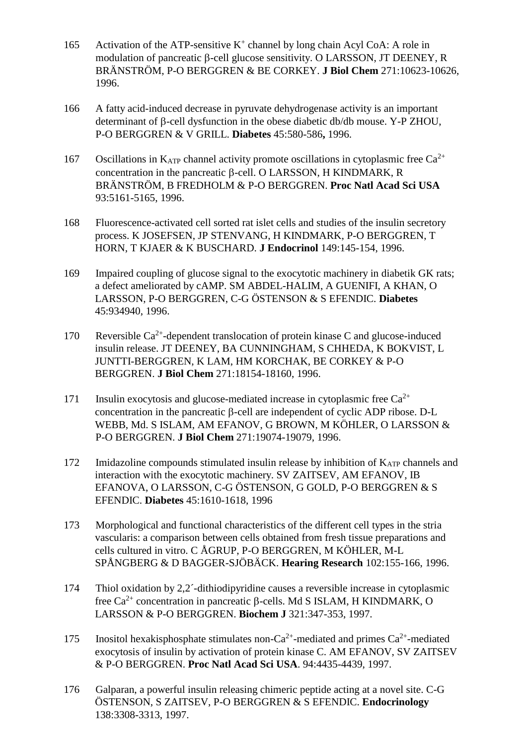- 165 Activation of the ATP-sensitive  $K^+$  channel by long chain Acyl CoA: A role in modulation of pancreatic  $\beta$ -cell glucose sensitivity. O LARSSON, JT DEENEY, R BRÄNSTRÖM, P-O BERGGREN & BE CORKEY. **J Biol Chem** 271:10623-10626, 1996.
- 166 A fatty acid-induced decrease in pyruvate dehydrogenase activity is an important determinant of  $\beta$ -cell dysfunction in the obese diabetic db/db mouse. Y-P ZHOU, P-O BERGGREN & V GRILL. **Diabetes** 45:580-586**,** 1996.
- 167 Oscillations in  $K_{ATP}$  channel activity promote oscillations in cytoplasmic free  $Ca^{2+}$ concentration in the pancreatic  $\beta$ -cell. O LARSSON, H KINDMARK, R BRÄNSTRÖM, B FREDHOLM & P-O BERGGREN. **Proc Natl Acad Sci USA**  93:5161-5165, 1996.
- 168 Fluorescence-activated cell sorted rat islet cells and studies of the insulin secretory process. K JOSEFSEN, JP STENVANG, H KINDMARK, P-O BERGGREN, T HORN, T KJAER & K BUSCHARD. **J Endocrinol** 149:145-154, 1996.
- 169 Impaired coupling of glucose signal to the exocytotic machinery in diabetik GK rats; a defect ameliorated by cAMP. SM ABDEL-HALIM, A GUENIFI, A KHAN, O LARSSON, P-O BERGGREN, C-G ÖSTENSON & S EFENDIC. **Diabetes**  45:934940, 1996.
- 170 Reversible Ca<sup>2+</sup>-dependent translocation of protein kinase C and glucose-induced insulin release. JT DEENEY, BA CUNNINGHAM, S CHHEDA, K BOKVIST, L JUNTTI-BERGGREN, K LAM, HM KORCHAK, BE CORKEY & P-O BERGGREN. **J Biol Chem** 271:18154-18160, 1996.
- 171 Insulin exocytosis and glucose-mediated increase in cytoplasmic free  $Ca^{2+}$ concentration in the pancreatic  $\beta$ -cell are independent of cyclic ADP ribose. D-L WEBB, Md. S ISLAM, AM EFANOV, G BROWN, M KÖHLER, O LARSSON & P-O BERGGREN. **J Biol Chem** 271:19074-19079, 1996.
- 172 Imidazoline compounds stimulated insulin release by inhibition of  $K_{ATP}$  channels and interaction with the exocytotic machinery. SV ZAITSEV, AM EFANOV, IB EFANOVA, O LARSSON, C-G ÖSTENSON, G GOLD, P-O BERGGREN & S EFENDIC. **Diabetes** 45:1610-1618, 1996
- 173 Morphological and functional characteristics of the different cell types in the stria vascularis: a comparison between cells obtained from fresh tissue preparations and cells cultured in vitro. C ÅGRUP, P-O BERGGREN, M KÖHLER, M-L SPÅNGBERG & D BAGGER-SJÖBÄCK. **Hearing Research** 102:155-166, 1996.
- 174 Thiol oxidation by 2,2´-dithiodipyridine causes a reversible increase in cytoplasmic free  $Ca^{2+}$  concentration in pancreatic  $\beta$ -cells. Md S ISLAM, H KINDMARK, O LARSSON & P-O BERGGREN. **Biochem J** 321:347-353, 1997.
- 175 Inositol hexakisphosphate stimulates non-Ca<sup>2+</sup>-mediated and primes  $Ca^{2+}$ -mediated exocytosis of insulin by activation of protein kinase C. AM EFANOV, SV ZAITSEV & P-O BERGGREN. **Proc Natl Acad Sci USA**. 94:4435-4439, 1997.
- 176 Galparan, a powerful insulin releasing chimeric peptide acting at a novel site. C-G ÖSTENSON, S ZAITSEV, P-O BERGGREN & S EFENDIC. **Endocrinology**  138:3308-3313, 1997.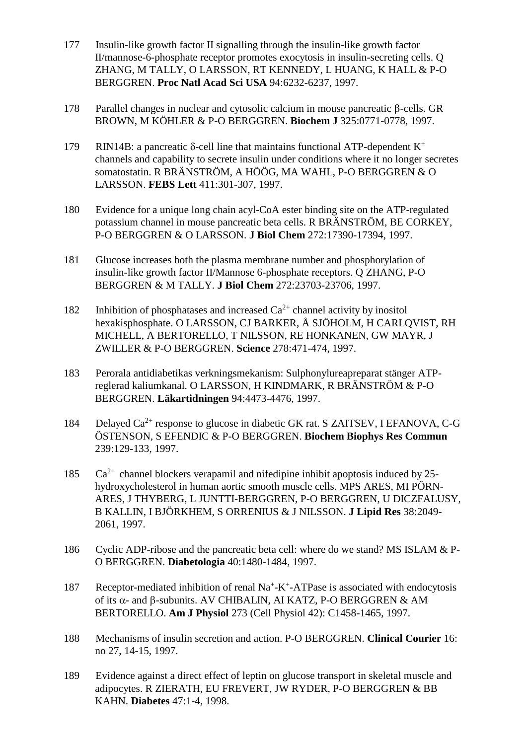- 177 Insulin-like growth factor II signalling through the insulin-like growth factor II/mannose-6-phosphate receptor promotes exocytosis in insulin-secreting cells. Q ZHANG, M TALLY, O LARSSON, RT KENNEDY, L HUANG, K HALL & P-O BERGGREN. **Proc Natl Acad Sci USA** 94:6232-6237, 1997.
- 178 Parallel changes in nuclear and cytosolic calcium in mouse pancreatic  $\beta$ -cells. GR BROWN, M KÖHLER & P-O BERGGREN. **Biochem J** 325:0771-0778, 1997.
- 179 RIN14B: a pancreatic  $\delta$ -cell line that maintains functional ATP-dependent K<sup>+</sup> channels and capability to secrete insulin under conditions where it no longer secretes somatostatin. R BRÄNSTRÖM, A HÖÖG, MA WAHL, P-O BERGGREN & O LARSSON. **FEBS Lett** 411:301-307, 1997.
- 180 Evidence for a unique long chain acyl-CoA ester binding site on the ATP-regulated potassium channel in mouse pancreatic beta cells. R BRÄNSTRÖM, BE CORKEY, P-O BERGGREN & O LARSSON. **J Biol Chem** 272:17390-17394, 1997.
- 181 Glucose increases both the plasma membrane number and phosphorylation of insulin-like growth factor II/Mannose 6-phosphate receptors. Q ZHANG, P-O BERGGREN & M TALLY. **J Biol Chem** 272:23703-23706, 1997.
- 182 Inhibition of phosphatases and increased  $Ca^{2+}$  channel activity by inositol hexakisphosphate. O LARSSON, CJ BARKER, Å SJÖHOLM, H CARLQVIST, RH MICHELL, A BERTORELLO, T NILSSON, RE HONKANEN, GW MAYR, J ZWILLER & P-O BERGGREN. **Science** 278:471-474, 1997.
- 183 Perorala antidiabetikas verkningsmekanism: Sulphonylureapreparat stänger ATPreglerad kaliumkanal. O LARSSON, H KINDMARK, R BRÄNSTRÖM & P-O BERGGREN. **Läkartidningen** 94:4473-4476, 1997.
- 184 Delayed  $Ca^{2+}$  response to glucose in diabetic GK rat. S ZAITSEV, I EFANOVA, C-G ÖSTENSON, S EFENDIC & P-O BERGGREN. **Biochem Biophys Res Commun** 239:129-133, 1997.
- $185$  Ca<sup>2+</sup> channel blockers verapamil and nifedipine inhibit apoptosis induced by 25hydroxycholesterol in human aortic smooth muscle cells. MPS ARES, MI PÖRN-ARES, J THYBERG, L JUNTTI-BERGGREN, P-O BERGGREN, U DICZFALUSY, B KALLIN, I BJÖRKHEM, S ORRENIUS & J NILSSON. **J Lipid Res** 38:2049- 2061, 1997.
- 186 Cyclic ADP-ribose and the pancreatic beta cell: where do we stand? MS ISLAM & P-O BERGGREN. **Diabetologia** 40:1480-1484, 1997.
- 187 Receptor-mediated inhibition of renal Na<sup>+</sup>-K<sup>+</sup>-ATPase is associated with endocytosis of its  $\alpha$ - and  $\beta$ -subunits. AV CHIBALIN, AI KATZ, P-O BERGGREN & AM BERTORELLO. **Am J Physiol** 273 (Cell Physiol 42): C1458-1465, 1997.
- 188 Mechanisms of insulin secretion and action. P-O BERGGREN. **Clinical Courier** 16: no 27, 14-15, 1997.
- 189 Evidence against a direct effect of leptin on glucose transport in skeletal muscle and adipocytes. R ZIERATH, EU FREVERT, JW RYDER, P-O BERGGREN & BB KAHN. **Diabetes** 47:1-4, 1998.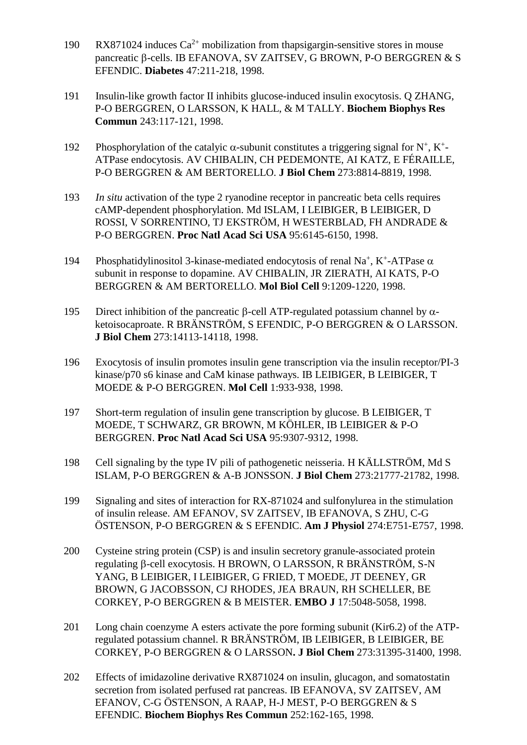- 190 RX871024 induces  $Ca^{2+}$  mobilization from thapsigargin-sensitive stores in mouse pancreatic  $\beta$ -cells. IB EFANOVA, SV ZAITSEV, G BROWN, P-O BERGGREN & S EFENDIC. **Diabetes** 47:211-218, 1998.
- 191 Insulin-like growth factor II inhibits glucose-induced insulin exocytosis. Q ZHANG, P-O BERGGREN, O LARSSON, K HALL, & M TALLY. **Biochem Biophys Res Commun** 243:117-121, 1998.
- 192 Phosphorylation of the catalyic  $\alpha$ -subunit constitutes a triggering signal for N<sup>+</sup>, K<sup>+</sup>-ATPase endocytosis. AV CHIBALIN, CH PEDEMONTE, AI KATZ, E FÉRAILLE, P-O BERGGREN & AM BERTORELLO. **J Biol Chem** 273:8814-8819, 1998.
- 193 *In situ* activation of the type 2 ryanodine receptor in pancreatic beta cells requires cAMP-dependent phosphorylation. Md ISLAM, I LEIBIGER, B LEIBIGER, D ROSSI, V SORRENTINO, TJ EKSTRÖM, H WESTERBLAD, FH ANDRADE & P-O BERGGREN. **Proc Natl Acad Sci USA** 95:6145-6150, 1998.
- 194 Phosphatidylinositol 3-kinase-mediated endocytosis of renal Na<sup>+</sup>, K<sup>+</sup>-ATPase  $\alpha$ subunit in response to dopamine. AV CHIBALIN, JR ZIERATH, AI KATS, P-O BERGGREN & AM BERTORELLO. **Mol Biol Cell** 9:1209-1220, 1998.
- 195 Direct inhibition of the pancreatic  $\beta$ -cell ATP-regulated potassium channel by  $\alpha$ ketoisocaproate. R BRÄNSTRÖM, S EFENDIC, P-O BERGGREN & O LARSSON. **J Biol Chem** 273:14113-14118, 1998.
- 196 Exocytosis of insulin promotes insulin gene transcription via the insulin receptor/PI-3 kinase/p70 s6 kinase and CaM kinase pathways. IB LEIBIGER, B LEIBIGER, T MOEDE & P-O BERGGREN. **Mol Cell** 1:933-938, 1998.
- 197 Short-term regulation of insulin gene transcription by glucose. B LEIBIGER, T MOEDE, T SCHWARZ, GR BROWN, M KÖHLER, IB LEIBIGER & P-O BERGGREN. **Proc Natl Acad Sci USA** 95:9307-9312, 1998.
- 198 Cell signaling by the type IV pili of pathogenetic neisseria. H KÄLLSTRÖM, Md S ISLAM, P-O BERGGREN & A-B JONSSON. **J Biol Chem** 273:21777-21782, 1998.
- 199 Signaling and sites of interaction for RX-871024 and sulfonylurea in the stimulation of insulin release. AM EFANOV, SV ZAITSEV, IB EFANOVA, S ZHU, C-G ÖSTENSON, P-O BERGGREN & S EFENDIC. **Am J Physiol** 274:E751-E757, 1998.
- 200 Cysteine string protein (CSP) is and insulin secretory granule-associated protein regulating β-cell exocytosis. H BROWN, O LARSSON, R BRÄNSTRÖM, S-N YANG, B LEIBIGER, I LEIBIGER, G FRIED, T MOEDE, JT DEENEY, GR BROWN, G JACOBSSON, CJ RHODES, JEA BRAUN, RH SCHELLER, BE CORKEY, P-O BERGGREN & B MEISTER. **EMBO J** 17:5048-5058, 1998.
- 201 Long chain coenzyme A esters activate the pore forming subunit (Kir6.2) of the ATPregulated potassium channel. R BRÄNSTRÖM, IB LEIBIGER, B LEIBIGER, BE CORKEY, P-O BERGGREN & O LARSSON**. J Biol Chem** 273:31395-31400, 1998.
- 202 Effects of imidazoline derivative RX871024 on insulin, glucagon, and somatostatin secretion from isolated perfused rat pancreas. IB EFANOVA, SV ZAITSEV, AM EFANOV, C-G ÖSTENSON, A RAAP, H-J MEST, P-O BERGGREN & S EFENDIC. **Biochem Biophys Res Commun** 252:162-165, 1998.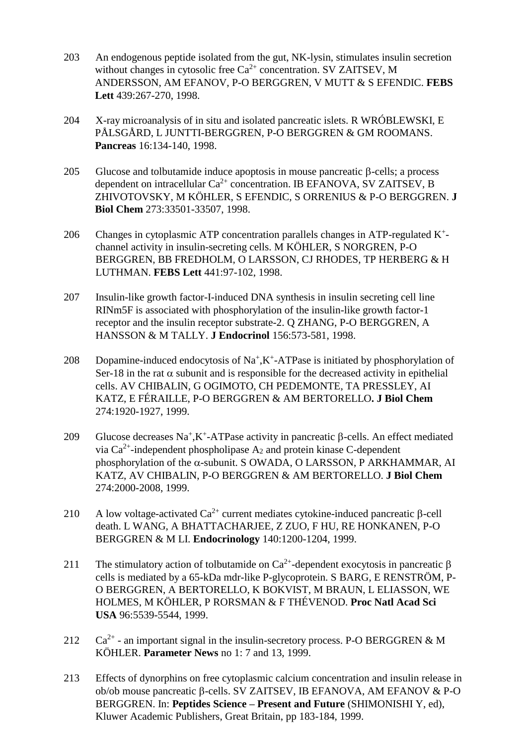- 203 An endogenous peptide isolated from the gut, NK-lysin, stimulates insulin secretion without changes in cytosolic free  $Ca^{2+}$  concentration. SV ZAITSEV, M ANDERSSON, AM EFANOV, P-O BERGGREN, V MUTT & S EFENDIC. **FEBS Lett** 439:267-270, 1998.
- 204 X-ray microanalysis of in situ and isolated pancreatic islets. R WRÓBLEWSKI, E PÅLSGÅRD, L JUNTTI-BERGGREN, P-O BERGGREN & GM ROOMANS. **Pancreas** 16:134-140, 1998.
- 205 Glucose and tolbutamide induce apoptosis in mouse pancreatic  $\beta$ -cells; a process dependent on intracellular  $Ca^{2+}$  concentration. IB EFANOVA, SV ZAITSEV, B ZHIVOTOVSKY, M KÖHLER, S EFENDIC, S ORRENIUS & P-O BERGGREN. **J Biol Chem** 273:33501-33507, 1998.
- 206 Changes in cytoplasmic ATP concentration parallels changes in ATP-regulated K<sup>+</sup>channel activity in insulin-secreting cells. M KÖHLER, S NORGREN, P-O BERGGREN, BB FREDHOLM, O LARSSON, CJ RHODES, TP HERBERG & H LUTHMAN. **FEBS Lett** 441:97-102, 1998.
- 207 Insulin-like growth factor-I-induced DNA synthesis in insulin secreting cell line RINm5F is associated with phosphorylation of the insulin-like growth factor-1 receptor and the insulin receptor substrate-2. Q ZHANG, P-O BERGGREN, A HANSSON & M TALLY. **J Endocrinol** 156:573-581, 1998.
- 208 Dopamine-induced endocytosis of  $Na^+$ ,  $K^+$ -ATPase is initiated by phosphorylation of Ser-18 in the rat  $\alpha$  subunit and is responsible for the decreased activity in epithelial cells. AV CHIBALIN, G OGIMOTO, CH PEDEMONTE, TA PRESSLEY, AI KATZ, E FÉRAILLE, P-O BERGGREN & AM BERTORELLO**. J Biol Chem** 274:1920-1927, 1999.
- 209 Glucose decreases  $\text{Na}^+$ , K<sup>+</sup>-ATPase activity in pancreatic  $\beta$ -cells. An effect mediated via  $Ca^{2+}$ -independent phospholipase A<sub>2</sub> and protein kinase C-dependent phosphorylation of the  $\alpha$ -subunit. S OWADA, O LARSSON, P ARKHAMMAR, AI KATZ, AV CHIBALIN, P-O BERGGREN & AM BERTORELLO. **J Biol Chem** 274:2000-2008, 1999.
- 210 A low voltage-activated  $Ca^{2+}$  current mediates cytokine-induced pancreatic  $\beta$ -cell death. L WANG, A BHATTACHARJEE, Z ZUO, F HU, RE HONKANEN, P-O BERGGREN & M LI. **Endocrinology** 140:1200-1204, 1999.
- 211 The stimulatory action of tolbutamide on  $Ca^{2+}$ -dependent exocytosis in pancreatic  $\beta$ cells is mediated by a 65-kDa mdr-like P-glycoprotein. S BARG, E RENSTRÖM, P-O BERGGREN, A BERTORELLO, K BOKVIST, M BRAUN, L ELIASSON, WE HOLMES, M KÖHLER, P RORSMAN & F THÉVENOD. **Proc Natl Acad Sci USA** 96:5539-5544, 1999.
- 212  $\text{Ca}^{2+}$  an important signal in the insulin-secretory process. P-O BERGGREN & M KÖHLER. **Parameter News** no 1: 7 and 13, 1999.
- 213 Effects of dynorphins on free cytoplasmic calcium concentration and insulin release in ob/ob mouse pancreatic  $\beta$ -cells. SV ZAITSEV, IB EFANOVA, AM EFANOV & P-O BERGGREN. In: **Peptides Science – Present and Future** (SHIMONISHI Y, ed), Kluwer Academic Publishers, Great Britain, pp 183-184, 1999.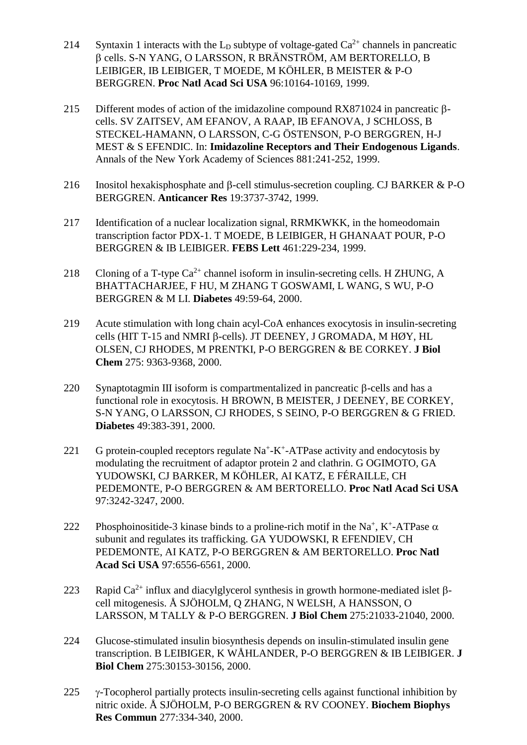- 214 Syntaxin 1 interacts with the  $L_D$  subtype of voltage-gated  $Ca^{2+}$  channels in pancreatic cells. S-N YANG, O LARSSON, R BRÄNSTRÖM, AM BERTORELLO, B LEIBIGER, IB LEIBIGER, T MOEDE, M KÖHLER, B MEISTER & P-O BERGGREN. **Proc Natl Acad Sci USA** 96:10164-10169, 1999.
- 215 Different modes of action of the imidazoline compound RX871024 in pancreatic  $\beta$ cells. SV ZAITSEV, AM EFANOV, A RAAP, IB EFANOVA, J SCHLOSS, B STECKEL-HAMANN, O LARSSON, C-G ÖSTENSON, P-O BERGGREN, H-J MEST & S EFENDIC. In: **Imidazoline Receptors and Their Endogenous Ligands**. Annals of the New York Academy of Sciences 881:241-252, 1999.
- 216 Inositol hexakisphosphate and  $\beta$ -cell stimulus-secretion coupling. CJ BARKER & P-O BERGGREN. **Anticancer Res** 19:3737-3742, 1999.
- 217 Identification of a nuclear localization signal, RRMKWKK, in the homeodomain transcription factor PDX-1. T MOEDE, B LEIBIGER, H GHANAAT POUR, P-O BERGGREN & IB LEIBIGER. **FEBS Lett** 461:229-234, 1999.
- 218 Cloning of a T-type  $Ca^{2+}$  channel isoform in insulin-secreting cells. H ZHUNG, A BHATTACHARJEE, F HU, M ZHANG T GOSWAMI, L WANG, S WU, P-O BERGGREN & M LI. **Diabetes** 49:59-64, 2000.
- 219 Acute stimulation with long chain acyl-CoA enhances exocytosis in insulin-secreting cells (HIT T-15 and NMRI  $\beta$ -cells). JT DEENEY, J GROMADA, M HØY, HL OLSEN, CJ RHODES, M PRENTKI, P-O BERGGREN & BE CORKEY. **J Biol Chem** 275: 9363-9368, 2000.
- 220 Synaptotagmin III isoform is compartmentalized in pancreatic  $\beta$ -cells and has a functional role in exocytosis. H BROWN, B MEISTER, J DEENEY, BE CORKEY, S-N YANG, O LARSSON, CJ RHODES, S SEINO, P-O BERGGREN & G FRIED. **Diabetes** 49:383-391, 2000.
- 221 G protein-coupled receptors regulate  $Na^+$ -K<sup>+</sup>-ATPase activity and endocytosis by modulating the recruitment of adaptor protein 2 and clathrin. G OGIMOTO, GA YUDOWSKI, CJ BARKER, M KÖHLER, AI KATZ, E FÉRAILLE, CH PEDEMONTE, P-O BERGGREN & AM BERTORELLO. **Proc Natl Acad Sci USA** 97:3242-3247, 2000.
- 222 Phosphoinositide-3 kinase binds to a proline-rich motif in the Na<sup>+</sup>, K<sup>+</sup>-ATPase  $\alpha$ subunit and regulates its trafficking. GA YUDOWSKI, R EFENDIEV, CH PEDEMONTE, AI KATZ, P-O BERGGREN & AM BERTORELLO. **Proc Natl Acad Sci USA** 97:6556-6561, 2000.
- 223 Rapid Ca<sup>2+</sup> influx and diacylglycerol synthesis in growth hormone-mediated islet  $\beta$ cell mitogenesis. Å SJÖHOLM, Q ZHANG, N WELSH, A HANSSON, O LARSSON, M TALLY & P-O BERGGREN. **J Biol Chem** 275:21033-21040, 2000.
- 224 Glucose-stimulated insulin biosynthesis depends on insulin-stimulated insulin gene transcription. B LEIBIGER, K WÅHLANDER, P-O BERGGREN & IB LEIBIGER. **J Biol Chem** 275:30153-30156, 2000.
- 225  $\gamma$ -Tocopherol partially protects insulin-secreting cells against functional inhibition by nitric oxide. Å SJÖHOLM, P-O BERGGREN & RV COONEY. **Biochem Biophys Res Commun** 277:334-340, 2000.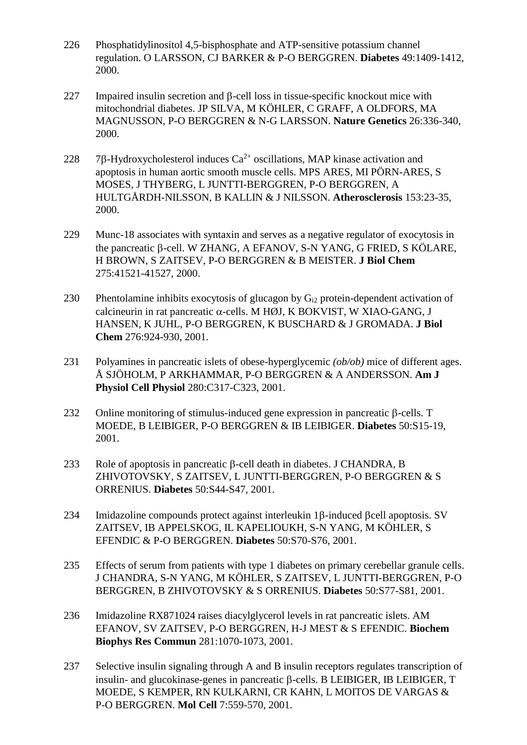- 226 Phosphatidylinositol 4,5-bisphosphate and ATP-sensitive potassium channel regulation. O LARSSON, CJ BARKER & P-O BERGGREN. **Diabetes** 49:1409-1412, 2000.
- $227$  Impaired insulin secretion and  $\beta$ -cell loss in tissue-specific knockout mice with mitochondrial diabetes. JP SILVA, M KÖHLER, C GRAFF, A OLDFORS, MA MAGNUSSON, P-O BERGGREN & N-G LARSSON. **Nature Genetics** 26:336-340, 2000.
- 228 7 $\beta$ -Hydroxycholesterol induces Ca<sup>2+</sup> oscillations, MAP kinase activation and apoptosis in human aortic smooth muscle cells. MPS ARES, MI PÖRN-ARES, S MOSES, J THYBERG, L JUNTTI-BERGGREN, P-O BERGGREN, A HULTGÅRDH-NILSSON, B KALLIN & J NILSSON. **Atherosclerosis** 153:23-35, 2000.
- 229 Munc-18 associates with syntaxin and serves as a negative regulator of exocytosis in the pancreatic B-cell. W ZHANG, A EFANOV, S-N YANG, G FRIED, S KÖLARE, H BROWN, S ZAITSEV, P-O BERGGREN & B MEISTER. **J Biol Chem** 275:41521-41527, 2000.
- 230 Phentolamine inhibits exocytosis of glucagon by Gi2 protein-dependent activation of calcineurin in rat pancreatic  $\alpha$ -cells. M HØJ, K BOKVIST, W XIAO-GANG, J HANSEN, K JUHL, P-O BERGGREN, K BUSCHARD & J GROMADA. **J Biol Chem** 276:924-930, 2001.
- 231 Polyamines in pancreatic islets of obese-hyperglycemic *(ob/ob)* mice of different ages. Å SJÖHOLM, P ARKHAMMAR, P-O BERGGREN & A ANDERSSON. **Am J Physiol Cell Physiol** 280:C317-C323, 2001.
- 232 Online monitoring of stimulus-induced gene expression in pancreatic  $\beta$ -cells. T MOEDE, B LEIBIGER, P-O BERGGREN & IB LEIBIGER. **Diabetes** 50:S15-19, 2001.
- 233 Role of apoptosis in pancreatic  $\beta$ -cell death in diabetes. J CHANDRA, B ZHIVOTOVSKY, S ZAITSEV, L JUNTTI-BERGGREN, P-O BERGGREN & S ORRENIUS. **Diabetes** 50:S44-S47, 2001.
- 234 Imidazoline compounds protect against interleukin  $1\beta$ -induced  $\beta$ cell apoptosis. SV ZAITSEV, IB APPELSKOG, IL KAPELIOUKH, S-N YANG, M KÖHLER, S EFENDIC & P-O BERGGREN. **Diabetes** 50:S70-S76, 2001.
- 235 Effects of serum from patients with type 1 diabetes on primary cerebellar granule cells. J CHANDRA, S-N YANG, M KÖHLER, S ZAITSEV, L JUNTTI-BERGGREN, P-O BERGGREN, B ZHIVOTOVSKY & S ORRENIUS. **Diabetes** 50:S77-S81, 2001.
- 236 Imidazoline RX871024 raises diacylglycerol levels in rat pancreatic islets. AM EFANOV, SV ZAITSEV, P-O BERGGREN, H-J MEST & S EFENDIC. **Biochem Biophys Res Commun** 281:1070-1073, 2001.
- 237 Selective insulin signaling through A and B insulin receptors regulates transcription of insulin- and glucokinase-genes in pancreatic  $\beta$ -cells. B LEIBIGER, IB LEIBIGER, T MOEDE, S KEMPER, RN KULKARNI, CR KAHN, L MOITOS DE VARGAS & P-O BERGGREN. **Mol Cell** 7:559-570, 2001.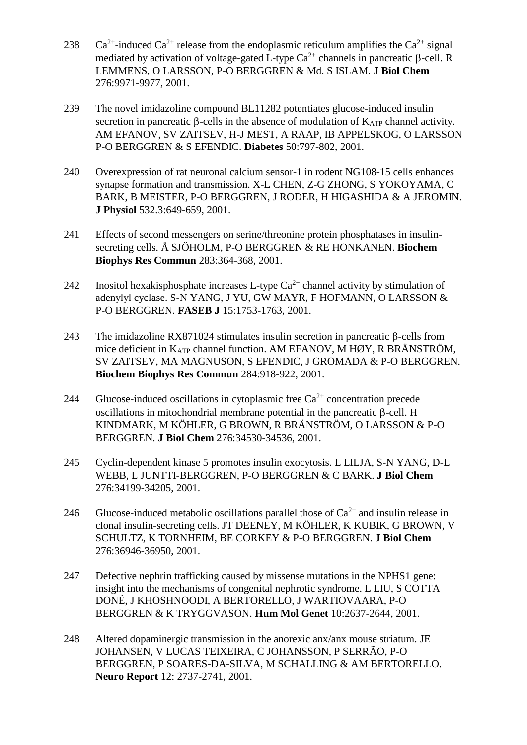- 238 Ca<sup>2+</sup>-induced Ca<sup>2+</sup> release from the endoplasmic reticulum amplifies the Ca<sup>2+</sup> signal mediated by activation of voltage-gated L-type  $Ca^{2+}$  channels in pancreatic  $\beta$ -cell. R LEMMENS, O LARSSON, P-O BERGGREN & Md. S ISLAM. **J Biol Chem** 276:9971-9977, 2001.
- 239 The novel imidazoline compound BL11282 potentiates glucose-induced insulin secretion in pancreatic  $\beta$ -cells in the absence of modulation of  $K_{ATP}$  channel activity. AM EFANOV, SV ZAITSEV, H-J MEST, A RAAP, IB APPELSKOG, O LARSSON P-O BERGGREN & S EFENDIC. **Diabetes** 50:797-802, 2001.
- 240 Overexpression of rat neuronal calcium sensor-1 in rodent NG108-15 cells enhances synapse formation and transmission. X-L CHEN, Z-G ZHONG, S YOKOYAMA, C BARK, B MEISTER, P-O BERGGREN, J RODER, H HIGASHIDA & A JEROMIN. **J Physiol** 532.3:649-659, 2001.
- 241 Effects of second messengers on serine/threonine protein phosphatases in insulinsecreting cells. Å SJÖHOLM, P-O BERGGREN & RE HONKANEN. **Biochem Biophys Res Commun** 283:364-368, 2001.
- 242 Inositol hexakisphosphate increases L-type  $Ca^{2+}$  channel activity by stimulation of adenylyl cyclase. S-N YANG, J YU, GW MAYR, F HOFMANN, O LARSSON & P-O BERGGREN. **FASEB J** 15:1753-1763, 2001.
- 243 The imidazoline RX871024 stimulates insulin secretion in pancreatic  $\beta$ -cells from mice deficient in  $K_{ATP}$  channel function. AM EFANOV, M HØY, R BRÄNSTRÖM, SV ZAITSEV, MA MAGNUSON, S EFENDIC, J GROMADA & P-O BERGGREN. **Biochem Biophys Res Commun** 284:918-922, 2001.
- 244 Glucose-induced oscillations in cytoplasmic free  $Ca^{2+}$  concentration precede oscillations in mitochondrial membrane potential in the pancreatic  $\beta$ -cell. H KINDMARK, M KÖHLER, G BROWN, R BRÄNSTRÖM, O LARSSON & P-O BERGGREN. **J Biol Chem** 276:34530-34536, 2001.
- 245 Cyclin-dependent kinase 5 promotes insulin exocytosis. L LILJA, S-N YANG, D-L WEBB, L JUNTTI-BERGGREN, P-O BERGGREN & C BARK. **J Biol Chem** 276:34199-34205, 2001.
- 246 Glucose-induced metabolic oscillations parallel those of  $Ca^{2+}$  and insulin release in clonal insulin-secreting cells. JT DEENEY, M KÖHLER, K KUBIK, G BROWN, V SCHULTZ, K TORNHEIM, BE CORKEY & P-O BERGGREN. **J Biol Chem** 276:36946-36950, 2001.
- 247 Defective nephrin trafficking caused by missense mutations in the NPHS1 gene: insight into the mechanisms of congenital nephrotic syndrome. L LIU, S COTTA DONÉ, J KHOSHNOODI, A BERTORELLO, J WARTIOVAARA, P-O BERGGREN & K TRYGGVASON. **Hum Mol Genet** 10:2637-2644, 2001.
- 248 Altered dopaminergic transmission in the anorexic anx/anx mouse striatum. JE JOHANSEN, V LUCAS TEIXEIRA, C JOHANSSON, P SERRÃO, P-O BERGGREN, P SOARES-DA-SILVA, M SCHALLING & AM BERTORELLO. **Neuro Report** 12: 2737-2741, 2001.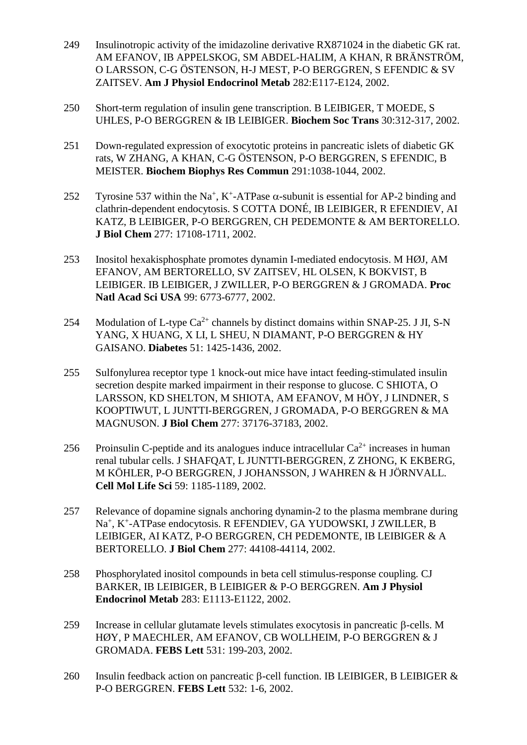- 249 Insulinotropic activity of the imidazoline derivative RX871024 in the diabetic GK rat. AM EFANOV, IB APPELSKOG, SM ABDEL-HALIM, A KHAN, R BRÄNSTRÖM, O LARSSON, C-G ÖSTENSON, H-J MEST, P-O BERGGREN, S EFENDIC & SV ZAITSEV. **Am J Physiol Endocrinol Metab** 282:E117-E124, 2002.
- 250 Short-term regulation of insulin gene transcription. B LEIBIGER, T MOEDE, S UHLES, P-O BERGGREN & IB LEIBIGER. **Biochem Soc Trans** 30:312-317, 2002.
- 251 Down-regulated expression of exocytotic proteins in pancreatic islets of diabetic GK rats, W ZHANG, A KHAN, C-G ÖSTENSON, P-O BERGGREN, S EFENDIC, B MEISTER. **Biochem Biophys Res Commun** 291:1038-1044, 2002.
- 252 Tyrosine 537 within the Na<sup>+</sup>, K<sup>+</sup>-ATPase  $\alpha$ -subunit is essential for AP-2 binding and clathrin-dependent endocytosis. S COTTA DONÉ, IB LEIBIGER, R EFENDIEV, AI KATZ, B LEIBIGER, P-O BERGGREN, CH PEDEMONTE & AM BERTORELLO. **J Biol Chem** 277: 17108-1711, 2002.
- 253 Inositol hexakisphosphate promotes dynamin I-mediated endocytosis. M HØJ, AM EFANOV, AM BERTORELLO, SV ZAITSEV, HL OLSEN, K BOKVIST, B LEIBIGER. IB LEIBIGER, J ZWILLER, P-O BERGGREN & J GROMADA. **Proc Natl Acad Sci USA** 99: 6773-6777, 2002.
- 254 Modulation of L-type  $Ca^{2+}$  channels by distinct domains within SNAP-25. J JI, S-N YANG, X HUANG, X LI, L SHEU, N DIAMANT, P-O BERGGREN & HY GAISANO. **Diabetes** 51: 1425-1436, 2002.
- 255 Sulfonylurea receptor type 1 knock-out mice have intact feeding-stimulated insulin secretion despite marked impairment in their response to glucose. C SHIOTA, O LARSSON, KD SHELTON, M SHIOTA, AM EFANOV, M HÖY, J LINDNER, S KOOPTIWUT, L JUNTTI-BERGGREN, J GROMADA, P-O BERGGREN & MA MAGNUSON. **J Biol Chem** 277: 37176-37183, 2002.
- 256 Proinsulin C-peptide and its analogues induce intracellular  $Ca^{2+}$  increases in human renal tubular cells. J SHAFQAT, L JUNTTI-BERGGREN, Z ZHONG, K EKBERG, M KÖHLER, P-O BERGGREN, J JOHANSSON, J WAHREN & H JÖRNVALL. **Cell Mol Life Sci** 59: 1185-1189, 2002.
- 257 Relevance of dopamine signals anchoring dynamin-2 to the plasma membrane during Na<sup>+</sup> , K<sup>+</sup> -ATPase endocytosis. R EFENDIEV, GA YUDOWSKI, J ZWILLER, B LEIBIGER, AI KATZ, P-O BERGGREN, CH PEDEMONTE, IB LEIBIGER & A BERTORELLO. **J Biol Chem** 277: 44108-44114, 2002.
- 258 Phosphorylated inositol compounds in beta cell stimulus-response coupling. CJ BARKER, IB LEIBIGER, B LEIBIGER & P-O BERGGREN. **Am J Physiol Endocrinol Metab** 283: E1113-E1122, 2002.
- $259$  Increase in cellular glutamate levels stimulates exocytosis in pancreatic  $\beta$ -cells. M HØY, P MAECHLER, AM EFANOV, CB WOLLHEIM, P-O BERGGREN & J GROMADA. **FEBS Lett** 531: 199-203, 2002.
- 260 Insulin feedback action on pancreatic  $\beta$ -cell function. IB LEIBIGER, B LEIBIGER & P-O BERGGREN. **FEBS Lett** 532: 1-6, 2002.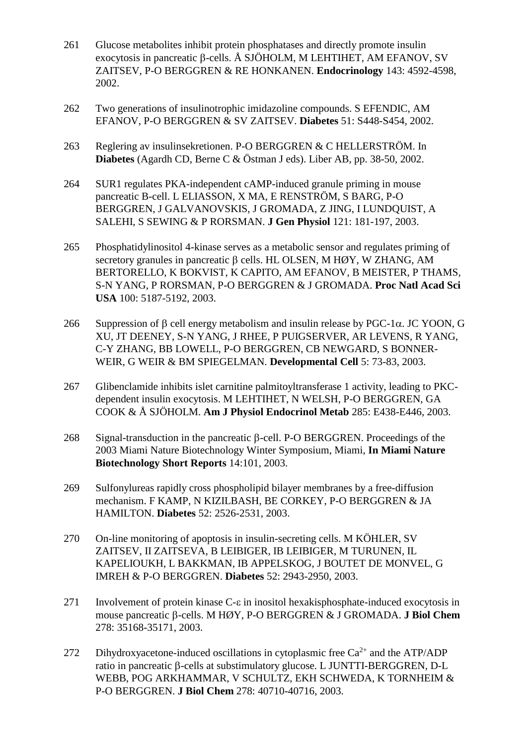- 261 Glucose metabolites inhibit protein phosphatases and directly promote insulin exocytosis in pancreatic  $\beta$ -cells. Å SJÖHOLM, M LEHTIHET, AM EFANOV, SV ZAITSEV, P-O BERGGREN & RE HONKANEN. **Endocrinology** 143: 4592-4598, 2002.
- 262 Two generations of insulinotrophic imidazoline compounds. S EFENDIC, AM EFANOV, P-O BERGGREN & SV ZAITSEV. **Diabetes** 51: S448-S454, 2002.
- 263 Reglering av insulinsekretionen. P-O BERGGREN & C HELLERSTRÖM. In **Diabetes** (Agardh CD, Berne C & Östman J eds). Liber AB, pp. 38-50, 2002.
- 264 SUR1 regulates PKA-independent cAMP-induced granule priming in mouse pancreatic B-cell. L ELIASSON, X MA, E RENSTRÖM, S BARG, P-O BERGGREN, J GALVANOVSKIS, J GROMADA, Z JING, I LUNDQUIST, A SALEHI, S SEWING & P RORSMAN. **J Gen Physiol** 121: 181-197, 2003.
- 265 Phosphatidylinositol 4-kinase serves as a metabolic sensor and regulates priming of secretory granules in pancreatic  $\beta$  cells. HL OLSEN, M HØY, W ZHANG, AM BERTORELLO, K BOKVIST, K CAPITO, AM EFANOV, B MEISTER, P THAMS, S-N YANG, P RORSMAN, P-O BERGGREN & J GROMADA. **Proc Natl Acad Sci USA** 100: 5187-5192, 2003.
- 266 Suppression of β cell energy metabolism and insulin release by PGC-1 $\alpha$ . JC YOON, G XU, JT DEENEY, S-N YANG, J RHEE, P PUIGSERVER, AR LEVENS, R YANG, C-Y ZHANG, BB LOWELL, P-O BERGGREN, CB NEWGARD, S BONNER-WEIR, G WEIR & BM SPIEGELMAN. **Developmental Cell** 5: 73-83, 2003.
- 267 Glibenclamide inhibits islet carnitine palmitoyltransferase 1 activity, leading to PKCdependent insulin exocytosis. M LEHTIHET, N WELSH, P-O BERGGREN, GA COOK & Å SJÖHOLM. **Am J Physiol Endocrinol Metab** 285: E438-E446, 2003.
- $268$  Signal-transduction in the pancreatic  $\beta$ -cell. P-O BERGGREN. Proceedings of the 2003 Miami Nature Biotechnology Winter Symposium, Miami, **In Miami Nature Biotechnology Short Reports** 14:101, 2003.
- 269 Sulfonylureas rapidly cross phospholipid bilayer membranes by a free-diffusion mechanism. F KAMP, N KIZILBASH, BE CORKEY, P-O BERGGREN & JA HAMILTON. **Diabetes** 52: 2526-2531, 2003.
- 270 On-line monitoring of apoptosis in insulin-secreting cells. M KÖHLER, SV ZAITSEV, II ZAITSEVA, B LEIBIGER, IB LEIBIGER, M TURUNEN, IL KAPELIOUKH, L BAKKMAN, IB APPELSKOG, J BOUTET DE MONVEL, G IMREH & P-O BERGGREN. **Diabetes** 52: 2943-2950, 2003.
- $271$  Involvement of protein kinase C- $\varepsilon$  in inositol hexakisphosphate-induced exocytosis in mouse pancreatic  $\beta$ -cells. M HØY, P-O BERGGREN & J GROMADA. **J Biol Chem** 278: 35168-35171, 2003.
- 272 Dihydroxyacetone-induced oscillations in cytoplasmic free  $Ca^{2+}$  and the ATP/ADP ratio in pancreatic  $\beta$ -cells at substimulatory glucose. L JUNTTI-BERGGREN, D-L WEBB, POG ARKHAMMAR, V SCHULTZ, EKH SCHWEDA, K TORNHEIM & P-O BERGGREN. **J Biol Chem** 278: 40710-40716, 2003.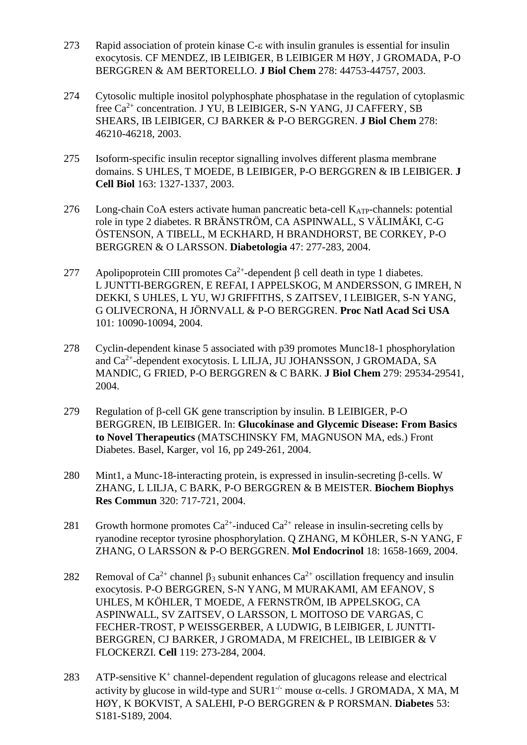- 273 Rapid association of protein kinase C- $\epsilon$  with insulin granules is essential for insulin exocytosis. CF MENDEZ, IB LEIBIGER, B LEIBIGER M HØY, J GROMADA, P-O BERGGREN & AM BERTORELLO. **J Biol Chem** 278: 44753-44757, 2003.
- 274 Cytosolic multiple inositol polyphosphate phosphatase in the regulation of cytoplasmic free  $Ca^{2+}$  concentration. J YU, B LEIBIGER, S-N YANG, JJ CAFFERY, SB SHEARS, IB LEIBIGER, CJ BARKER & P-O BERGGREN. **J Biol Chem** 278: 46210-46218, 2003.
- 275 Isoform-specific insulin receptor signalling involves different plasma membrane domains. S UHLES, T MOEDE, B LEIBIGER, P-O BERGGREN & IB LEIBIGER. **J Cell Biol** 163: 1327-1337, 2003.
- $276$  Long-chain CoA esters activate human pancreatic beta-cell  $K_{ATP}$ -channels: potential role in type 2 diabetes. R BRÄNSTRÖM, CA ASPINWALL, S VÄLIMÄKI, C-G ÖSTENSON, A TIBELL, M ECKHARD, H BRANDHORST, BE CORKEY, P-O BERGGREN & O LARSSON. **Diabetologia** 47: 277-283, 2004.
- 277 Apolipoprotein CIII promotes  $Ca^{2+}$ -dependent  $\beta$  cell death in type 1 diabetes. L JUNTTI-BERGGREN, E REFAI, I APPELSKOG, M ANDERSSON, G IMREH, N DEKKI, S UHLES, L YU, WJ GRIFFITHS, S ZAITSEV, I LEIBIGER, S-N YANG, G OLIVECRONA, H JÖRNVALL & P-O BERGGREN. **Proc Natl Acad Sci USA** 101: 10090-10094, 2004.
- 278 Cyclin-dependent kinase 5 associated with p39 promotes Munc18-1 phosphorylation and Ca<sup>2+</sup>-dependent exocytosis. L LILJA, JU JOHANSSON, J GROMADA, SA MANDIC, G FRIED, P-O BERGGREN & C BARK. **J Biol Chem** 279: 29534-29541, 2004.
- 279 Regulation of  $\beta$ -cell GK gene transcription by insulin. B LEIBIGER, P-O BERGGREN, IB LEIBIGER. In: **Glucokinase and Glycemic Disease: From Basics to Novel Therapeutics** (MATSCHINSKY FM, MAGNUSON MA, eds.) Front Diabetes. Basel, Karger, vol 16, pp 249-261, 2004.
- $280$  Mint1, a Munc-18-interacting protein, is expressed in insulin-secreting  $\beta$ -cells. W ZHANG, L LILJA, C BARK, P-O BERGGREN & B MEISTER. **Biochem Biophys Res Commun** 320: 717-721, 2004.
- 281 Growth hormone promotes  $Ca^{2+}$ -induced  $Ca^{2+}$  release in insulin-secreting cells by ryanodine receptor tyrosine phosphorylation. Q ZHANG, M KÖHLER, S-N YANG, F ZHANG, O LARSSON & P-O BERGGREN. **Mol Endocrinol** 18: 1658-1669, 2004.
- 282 Removal of Ca<sup>2+</sup> channel  $\beta_3$  subunit enhances Ca<sup>2+</sup> oscillation frequency and insulin exocytosis. P-O BERGGREN, S-N YANG, M MURAKAMI, AM EFANOV, S UHLES, M KÖHLER, T MOEDE, A FERNSTRÖM, IB APPELSKOG, CA ASPINWALL, SV ZAITSEV, O LARSSON, L MOITOSO DE VARGAS, C FECHER-TROST, P WEISSGERBER, A LUDWIG, B LEIBIGER, L JUNTTI-BERGGREN, CJ BARKER, J GROMADA, M FREICHEL, IB LEIBIGER & V FLOCKERZI. **Cell** 119: 273-284, 2004.
- $283$  ATP-sensitive K<sup>+</sup> channel-dependent regulation of glucagons release and electrical activity by glucose in wild-type and SUR1<sup>-/-</sup> mouse  $\alpha$ -cells. J GROMADA, X MA, M HØY, K BOKVIST, A SALEHI, P-O BERGGREN & P RORSMAN. **Diabetes** 53: S181-S189, 2004.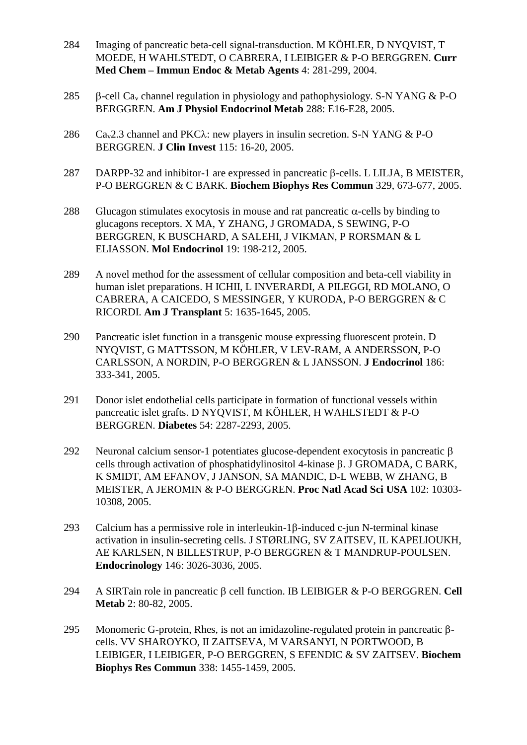- 284 Imaging of pancreatic beta-cell signal-transduction. M KÖHLER, D NYQVIST, T MOEDE, H WAHLSTEDT, O CABRERA, I LEIBIGER & P-O BERGGREN. **Curr Med Chem – Immun Endoc & Metab Agents** 4: 281-299, 2004.
- 285  $\beta$ -cell Ca<sub>v</sub> channel regulation in physiology and pathophysiology. S-N YANG & P-O BERGGREN. **Am J Physiol Endocrinol Metab** 288: E16-E28, 2005.
- 286 Ca<sub>v</sub>2.3 channel and PKC $\lambda$ : new players in insulin secretion. S-N YANG & P-O BERGGREN. **J Clin Invest** 115: 16-20, 2005.
- 287 DARPP-32 and inhibitor-1 are expressed in pancreatic  $\beta$ -cells. L LILJA, B MEISTER, P-O BERGGREN & C BARK. **Biochem Biophys Res Commun** 329, 673-677, 2005.
- 288 Glucagon stimulates exocytosis in mouse and rat pancreatic  $\alpha$ -cells by binding to glucagons receptors. X MA, Y ZHANG, J GROMADA, S SEWING, P-O BERGGREN, K BUSCHARD, A SALEHI, J VIKMAN, P RORSMAN & L ELIASSON. **Mol Endocrinol** 19: 198-212, 2005.
- 289 A novel method for the assessment of cellular composition and beta-cell viability in human islet preparations. H ICHII, L INVERARDI, A PILEGGI, RD MOLANO, O CABRERA, A CAICEDO, S MESSINGER, Y KURODA, P-O BERGGREN & C RICORDI. **Am J Transplant** 5: 1635-1645, 2005.
- 290 Pancreatic islet function in a transgenic mouse expressing fluorescent protein. D NYQVIST, G MATTSSON, M KÖHLER, V LEV-RAM, A ANDERSSON, P-O CARLSSON, A NORDIN, P-O BERGGREN & L JANSSON. **J Endocrinol** 186: 333-341, 2005.
- 291 Donor islet endothelial cells participate in formation of functional vessels within pancreatic islet grafts. D NYQVIST, M KÖHLER, H WAHLSTEDT & P-O BERGGREN. **Diabetes** 54: 2287-2293, 2005.
- 292 Neuronal calcium sensor-1 potentiates glucose-dependent exocytosis in pancreatic  $\beta$ cells through activation of phosphatidylinositol 4-kinase  $\beta$ . J GROMADA, C BARK, K SMIDT, AM EFANOV, J JANSON, SA MANDIC, D-L WEBB, W ZHANG, B MEISTER, A JEROMIN & P-O BERGGREN. **Proc Natl Acad Sci USA** 102: 10303- 10308, 2005.
- 293 Calcium has a permissive role in interleukin-1 $\beta$ -induced c-jun N-terminal kinase activation in insulin-secreting cells. J STØRLING, SV ZAITSEV, IL KAPELIOUKH, AE KARLSEN, N BILLESTRUP, P-O BERGGREN & T MANDRUP-POULSEN. **Endocrinology** 146: 3026-3036, 2005.
- 294 A SIRTain role in pancreatic  $\beta$  cell function. IB LEIBIGER  $\&$  P-O BERGGREN. Cell **Metab** 2: 80-82, 2005.
- 295 Monomeric G-protein, Rhes, is not an imidazoline-regulated protein in pancreatic  $\beta$ cells. VV SHAROYKO, II ZAITSEVA, M VARSANYI, N PORTWOOD, B LEIBIGER, I LEIBIGER, P-O BERGGREN, S EFENDIC & SV ZAITSEV. **Biochem Biophys Res Commun** 338: 1455-1459, 2005.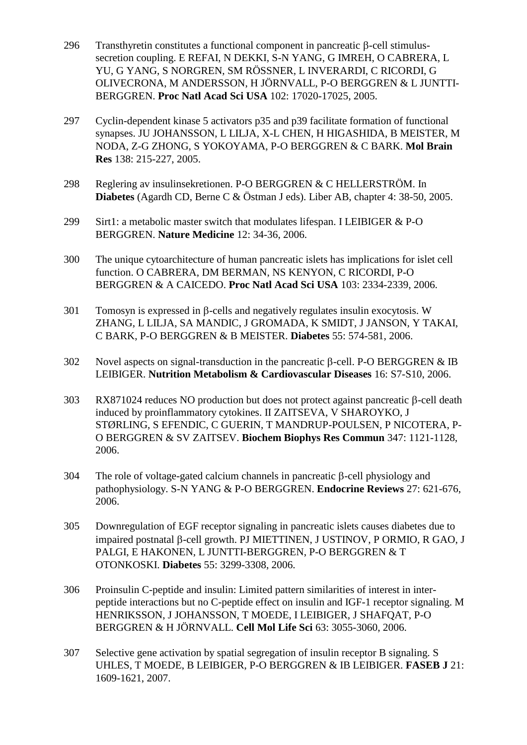- $296$  Transthyretin constitutes a functional component in pancreatic  $\beta$ -cell stimulussecretion coupling. E REFAI, N DEKKI, S-N YANG, G IMREH, O CABRERA, L YU, G YANG, S NORGREN, SM RÖSSNER, L INVERARDI, C RICORDI, G OLIVECRONA, M ANDERSSON, H JÖRNVALL, P-O BERGGREN & L JUNTTI-BERGGREN. **Proc Natl Acad Sci USA** 102: 17020-17025, 2005.
- 297 Cyclin-dependent kinase 5 activators p35 and p39 facilitate formation of functional synapses. JU JOHANSSON, L LILJA, X-L CHEN, H HIGASHIDA, B MEISTER, M NODA, Z-G ZHONG, S YOKOYAMA, P-O BERGGREN & C BARK. **Mol Brain Res** 138: 215-227, 2005.
- 298 Reglering av insulinsekretionen. P-O BERGGREN & C HELLERSTRÖM. In **Diabetes** (Agardh CD, Berne C & Östman J eds). Liber AB, chapter 4: 38-50, 2005.
- 299 Sirt1: a metabolic master switch that modulates lifespan. I LEIBIGER & P-O BERGGREN. **Nature Medicine** 12: 34-36, 2006.
- 300 The unique cytoarchitecture of human pancreatic islets has implications for islet cell function. O CABRERA, DM BERMAN, NS KENYON, C RICORDI, P-O BERGGREN & A CAICEDO. **Proc Natl Acad Sci USA** 103: 2334-2339, 2006.
- $301$  Tomosyn is expressed in  $\beta$ -cells and negatively regulates insulin exocytosis. W ZHANG, L LILJA, SA MANDIC, J GROMADA, K SMIDT, J JANSON, Y TAKAI, C BARK, P-O BERGGREN & B MEISTER. **Diabetes** 55: 574-581, 2006.
- 302 Novel aspects on signal-transduction in the pancreatic  $\beta$ -cell. P-O BERGGREN & IB LEIBIGER. **Nutrition Metabolism & Cardiovascular Diseases** 16: S7-S10, 2006.
- 303 RX871024 reduces NO production but does not protect against pancreatic  $\beta$ -cell death induced by proinflammatory cytokines. II ZAITSEVA, V SHAROYKO, J STØRLING, S EFENDIC, C GUERIN, T MANDRUP-POULSEN, P NICOTERA, P-O BERGGREN & SV ZAITSEV. **Biochem Biophys Res Commun** 347: 1121-1128, 2006.
- $304$  The role of voltage-gated calcium channels in pancreatic  $\beta$ -cell physiology and pathophysiology. S-N YANG & P-O BERGGREN. **Endocrine Reviews** 27: 621-676, 2006.
- 305 Downregulation of EGF receptor signaling in pancreatic islets causes diabetes due to impaired postnatal  $\beta$ -cell growth. PJ MIETTINEN, J USTINOV, P ORMIO, R GAO, J PALGI, E HAKONEN, L JUNTTI-BERGGREN, P-O BERGGREN & T OTONKOSKI. **Diabetes** 55: 3299-3308, 2006.
- 306 Proinsulin C-peptide and insulin: Limited pattern similarities of interest in interpeptide interactions but no C-peptide effect on insulin and IGF-1 receptor signaling. M HENRIKSSON, J JOHANSSON, T MOEDE, I LEIBIGER, J SHAFQAT, P-O BERGGREN & H JÖRNVALL. **Cell Mol Life Sci** 63: 3055-3060, 2006.
- 307 Selective gene activation by spatial segregation of insulin receptor B signaling. S UHLES, T MOEDE, B LEIBIGER, P-O BERGGREN & IB LEIBIGER. **FASEB J** 21: 1609-1621, 2007.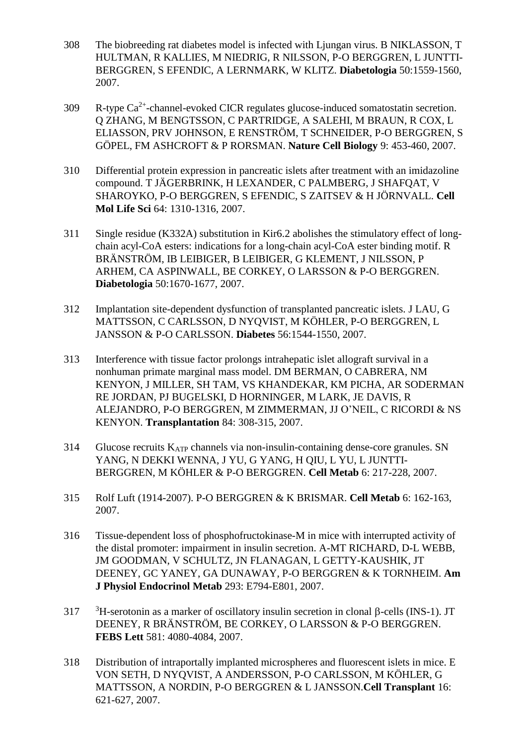- 308 The biobreeding rat diabetes model is infected with Ljungan virus. B NIKLASSON, T HULTMAN, R KALLIES, M NIEDRIG, R NILSSON, P-O BERGGREN, L JUNTTI-BERGGREN, S EFENDIC, A LERNMARK, W KLITZ. **Diabetologia** 50:1559-1560, 2007.
- 309  $\cdot$  R-type Ca<sup>2+</sup>-channel-evoked CICR regulates glucose-induced somatostatin secretion. Q ZHANG, M BENGTSSON, C PARTRIDGE, A SALEHI, M BRAUN, R COX, L ELIASSON, PRV JOHNSON, E RENSTRÖM, T SCHNEIDER, P-O BERGGREN, S GÖPEL, FM ASHCROFT & P RORSMAN. **Nature Cell Biology** 9: 453-460, 2007.
- 310 Differential protein expression in pancreatic islets after treatment with an imidazoline compound. T JÄGERBRINK, H LEXANDER, C PALMBERG, J SHAFQAT, V SHAROYKO, P-O BERGGREN, S EFENDIC, S ZAITSEV & H JÖRNVALL. **Cell Mol Life Sci** 64: 1310-1316, 2007.
- 311 Single residue (K332A) substitution in Kir6.2 abolishes the stimulatory effect of longchain acyl-CoA esters: indications for a long-chain acyl-CoA ester binding motif. R BRÄNSTRÖM, IB LEIBIGER, B LEIBIGER, G KLEMENT, J NILSSON, P ARHEM, CA ASPINWALL, BE CORKEY, O LARSSON & P-O BERGGREN. **Diabetologia** 50:1670-1677, 2007.
- 312 Implantation site-dependent dysfunction of transplanted pancreatic islets. J LAU, G MATTSSON, C CARLSSON, D NYQVIST, M KÖHLER, P-O BERGGREN, L JANSSON & P-O CARLSSON. **Diabetes** 56:1544-1550, 2007.
- 313 Interference with tissue factor prolongs intrahepatic islet allograft survival in a nonhuman primate marginal mass model. DM BERMAN, O CABRERA, NM KENYON, J MILLER, SH TAM, VS KHANDEKAR, KM PICHA, AR SODERMAN RE JORDAN, PJ BUGELSKI, D HORNINGER, M LARK, JE DAVIS, R ALEJANDRO, P-O BERGGREN, M ZIMMERMAN, JJ O'NEIL, C RICORDI & NS KENYON. **Transplantation** 84: 308-315, 2007.
- 314 Glucose recruits KATP channels via non-insulin-containing dense-core granules. SN YANG, N DEKKI WENNA, J YU, G YANG, H QIU, L YU, L JUNTTI-BERGGREN, M KÖHLER & P-O BERGGREN. **Cell Metab** 6: 217-228, 2007.
- 315 Rolf Luft (1914-2007). P-O BERGGREN & K BRISMAR. **Cell Metab** 6: 162-163, 2007.
- 316 Tissue-dependent loss of phosphofructokinase-M in mice with interrupted activity of the distal promoter: impairment in insulin secretion. A-MT RICHARD, D-L WEBB, JM GOODMAN, V SCHULTZ, JN FLANAGAN, L GETTY-KAUSHIK, JT DEENEY, GC YANEY, GA DUNAWAY, P-O BERGGREN & K TORNHEIM. **Am J Physiol Endocrinol Metab** 293: E794-E801, 2007.
- $317$  <sup>3</sup>H-serotonin as a marker of oscillatory insulin secretion in clonal  $\beta$ -cells (INS-1). JT DEENEY, R BRÄNSTRÖM, BE CORKEY, O LARSSON & P-O BERGGREN. **FEBS Lett** 581: 4080-4084, 2007.
- 318 Distribution of intraportally implanted microspheres and fluorescent islets in mice. E VON SETH, D NYQVIST, A ANDERSSON, P-O CARLSSON, M KÖHLER, G MATTSSON, A NORDIN, P-O BERGGREN & L JANSSON.**Cell Transplant** 16: 621-627, 2007.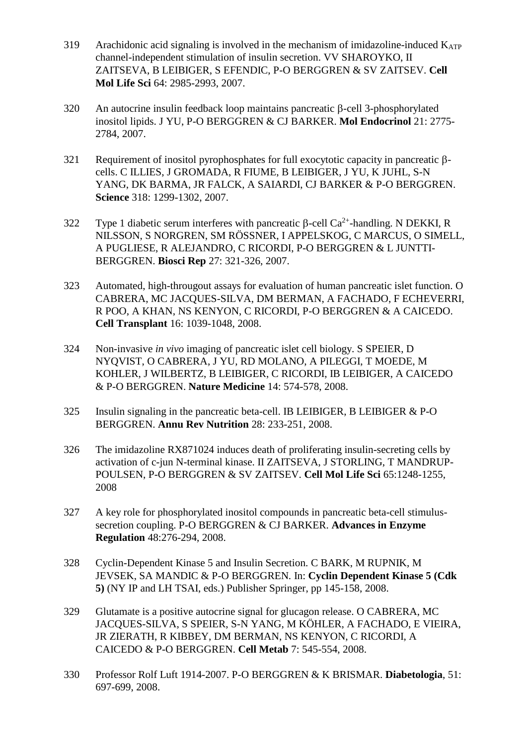- 319 Arachidonic acid signaling is involved in the mechanism of imidazoline-induced  $K_{ATP}$ channel-independent stimulation of insulin secretion. VV SHAROYKO, II ZAITSEVA, B LEIBIGER, S EFENDIC, P-O BERGGREN & SV ZAITSEV. **Cell Mol Life Sci** 64: 2985-2993, 2007.
- $320$  An autocrine insulin feedback loop maintains pancreatic  $\beta$ -cell 3-phosphorylated inositol lipids. J YU, P-O BERGGREN & CJ BARKER. **Mol Endocrinol** 21: 2775- 2784, 2007.
- 321 Requirement of inositol pyrophosphates for full exocytotic capacity in pancreatic  $\beta$ cells. C ILLIES, J GROMADA, R FIUME, B LEIBIGER, J YU, K JUHL, S-N YANG, DK BARMA, JR FALCK, A SAIARDI, CJ BARKER & P-O BERGGREN. **Science** 318: 1299-1302, 2007.
- 322 Type 1 diabetic serum interferes with pancreatic  $\beta$ -cell Ca<sup>2+</sup>-handling. N DEKKI, R NILSSON, S NORGREN, SM RÖSSNER, I APPELSKOG, C MARCUS, O SIMELL, A PUGLIESE, R ALEJANDRO, C RICORDI, P-O BERGGREN & L JUNTTI-BERGGREN. **Biosci Rep** 27: 321-326, 2007.
- 323 Automated, high-througout assays for evaluation of human pancreatic islet function. O CABRERA, MC JACQUES-SILVA, DM BERMAN, A FACHADO, F ECHEVERRI, R POO, A KHAN, NS KENYON, C RICORDI, P-O BERGGREN & A CAICEDO. **Cell Transplant** 16: 1039-1048, 2008.
- 324 Non-invasive *in vivo* imaging of pancreatic islet cell biology. S SPEIER, D NYQVIST, O CABRERA, J YU, RD MOLANO, A PILEGGI, T MOEDE, M KOHLER, J WILBERTZ, B LEIBIGER, C RICORDI, IB LEIBIGER, A CAICEDO & P-O BERGGREN. **Nature Medicine** 14: 574-578, 2008.
- 325 Insulin signaling in the pancreatic beta-cell. IB LEIBIGER, B LEIBIGER & P-O BERGGREN. **Annu Rev Nutrition** 28: 233-251, 2008.
- 326 The imidazoline RX871024 induces death of proliferating insulin-secreting cells by activation of c-jun N-terminal kinase. II ZAITSEVA, J STORLING, T MANDRUP-POULSEN, P-O BERGGREN & SV ZAITSEV. **Cell Mol Life Sci** 65:1248-1255, 2008
- 327 A key role for phosphorylated inositol compounds in pancreatic beta-cell stimulussecretion coupling. P-O BERGGREN & CJ BARKER. **Advances in Enzyme Regulation** 48:276-294, 2008.
- 328 Cyclin-Dependent Kinase 5 and Insulin Secretion. C BARK, M RUPNIK, M JEVSEK, SA MANDIC & P-O BERGGREN*.* In: **Cyclin Dependent Kinase 5 (Cdk 5)** (NY IP and LH TSAI, eds.) Publisher Springer, pp 145-158, 2008.
- 329 Glutamate is a positive autocrine signal for glucagon release. O CABRERA, MC JACQUES-SILVA, S SPEIER, S-N YANG, M KÖHLER, A FACHADO, E VIEIRA, JR ZIERATH, R KIBBEY, DM BERMAN, NS KENYON, C RICORDI, A CAICEDO & P-O BERGGREN. **Cell Metab** 7: 545-554, 2008.
- 330 Professor Rolf Luft 1914-2007. P-O BERGGREN & K BRISMAR. **Diabetologia**, 51: 697-699, 2008.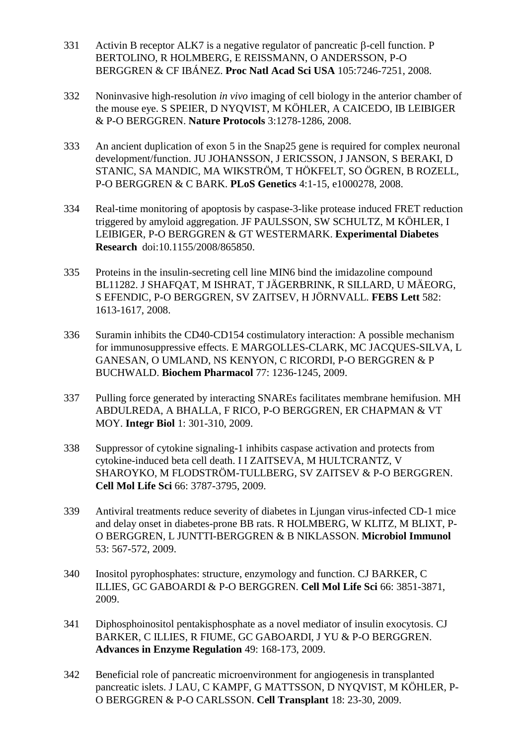- 331 Activin B receptor ALK7 is a negative regulator of pancreatic  $\beta$ -cell function. P BERTOLINO, R HOLMBERG, E REISSMANN, O ANDERSSON, P-O BERGGREN & CF IBÁNEZ. **Proc Natl Acad Sci USA** 105:7246-7251, 2008.
- 332 Noninvasive high-resolution *in vivo* imaging of cell biology in the anterior chamber of the mouse eye. S SPEIER, D NYQVIST, M KÖHLER, A CAICEDO, IB LEIBIGER & P-O BERGGREN. **Nature Protocols** 3:1278-1286, 2008.
- 333 An ancient duplication of exon 5 in the Snap25 gene is required for complex neuronal development/function. JU JOHANSSON, J ERICSSON, J JANSON, S BERAKI, D STANIC, SA MANDIC, MA WIKSTRÖM, T HÖKFELT, SO ÖGREN, B ROZELL, P-O BERGGREN & C BARK. **PLoS Genetics** 4:1-15, e1000278, 2008.
- 334 Real-time monitoring of apoptosis by caspase-3-like protease induced FRET reduction triggered by amyloid aggregation. JF PAULSSON, SW SCHULTZ, M KÖHLER, I LEIBIGER, P-O BERGGREN & GT WESTERMARK. **Experimental Diabetes Research** doi:10.1155/2008/865850.
- 335 Proteins in the insulin-secreting cell line MIN6 bind the imidazoline compound BL11282. J SHAFQAT, M ISHRAT, T JÄGERBRINK, R SILLARD, U MÄEORG, S EFENDIC, P-O BERGGREN, SV ZAITSEV, H JÖRNVALL. **FEBS Lett** 582: 1613-1617, 2008.
- 336 Suramin inhibits the CD40-CD154 costimulatory interaction: A possible mechanism for immunosuppressive effects. E MARGOLLES-CLARK, MC JACQUES-SILVA, L GANESAN, O UMLAND, NS KENYON, C RICORDI, P-O BERGGREN & P BUCHWALD. **Biochem Pharmacol** 77: 1236-1245, 2009.
- 337 Pulling force generated by interacting SNAREs facilitates membrane hemifusion. MH ABDULREDA, A BHALLA, F RICO, P-O BERGGREN, ER CHAPMAN & VT MOY. **Integr Biol** 1: 301-310, 2009.
- 338 Suppressor of cytokine signaling-1 inhibits caspase activation and protects from cytokine-induced beta cell death. I I ZAITSEVA, M HULTCRANTZ, V SHAROYKO, M FLODSTRÖM-TULLBERG, SV ZAITSEV & P-O BERGGREN. **Cell Mol Life Sci** 66: 3787-3795, 2009.
- 339 Antiviral treatments reduce severity of diabetes in Ljungan virus-infected CD-1 mice and delay onset in diabetes-prone BB rats. R HOLMBERG, W KLITZ, M BLIXT, P-O BERGGREN, L JUNTTI-BERGGREN & B NIKLASSON. **Microbiol Immunol** 53: 567-572, 2009.
- 340 Inositol pyrophosphates: structure, enzymology and function. CJ BARKER, C ILLIES, GC GABOARDI & P-O BERGGREN. **Cell Mol Life Sci** 66: 3851-3871, 2009.
- 341 Diphosphoinositol pentakisphosphate as a novel mediator of insulin exocytosis. CJ BARKER, C ILLIES, R FIUME, GC GABOARDI, J YU & P-O BERGGREN. **Advances in Enzyme Regulation** 49: 168-173, 2009.
- 342 Beneficial role of pancreatic microenvironment for angiogenesis in transplanted pancreatic islets. J LAU, C KAMPF, G MATTSSON, D NYQVIST, M KÖHLER, P-O BERGGREN & P-O CARLSSON. **Cell Transplant** 18: 23-30, 2009.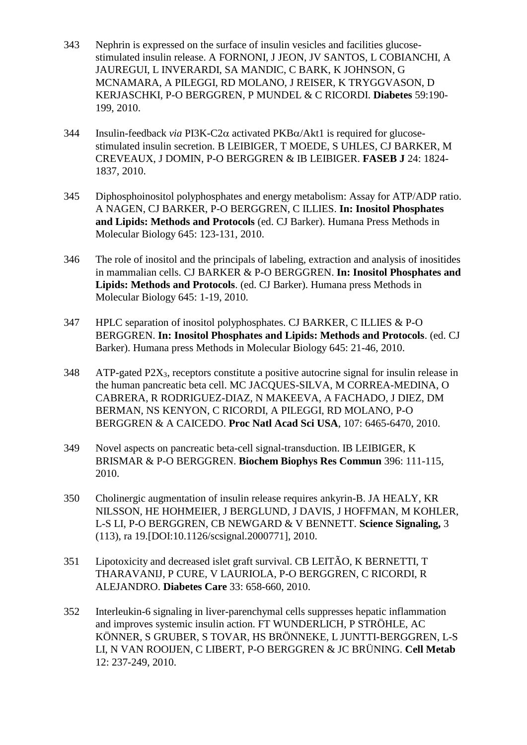- 343 Nephrin is expressed on the surface of insulin vesicles and facilities glucosestimulated insulin release. A FORNONI, J JEON, JV SANTOS, L COBIANCHI, A JAUREGUI, L INVERARDI, SA MANDIC, C BARK, K JOHNSON, G MCNAMARA, A PILEGGI, RD MOLANO, J REISER, K TRYGGVASON, D KERJASCHKI, P-O BERGGREN, P MUNDEL & C RICORDI. **Diabetes** 59:190- 199, 2010.
- 344 Insulin-feedback *via* PI3K-C2 $\alpha$  activated PKB $\alpha$ /Akt1 is required for glucosestimulated insulin secretion. B LEIBIGER, T MOEDE, S UHLES, CJ BARKER, M CREVEAUX, J DOMIN, P-O BERGGREN & IB LEIBIGER. **FASEB J** 24: 1824- 1837, 2010.
- 345 Diphosphoinositol polyphosphates and energy metabolism: Assay for ATP/ADP ratio. A NAGEN, CJ BARKER, P-O BERGGREN, C ILLIES. **In: Inositol Phosphates and Lipids: Methods and Protocols** (ed. CJ Barker). Humana Press Methods in Molecular Biology 645: 123-131, 2010.
- 346 The role of inositol and the principals of labeling, extraction and analysis of inositides in mammalian cells. CJ BARKER & P-O BERGGREN. **In: Inositol Phosphates and Lipids: Methods and Protocols**. (ed. CJ Barker). Humana press Methods in Molecular Biology 645: 1-19, 2010.
- 347 HPLC separation of inositol polyphosphates. CJ BARKER, C ILLIES & P-O BERGGREN. **In: Inositol Phosphates and Lipids: Methods and Protocols**. (ed. CJ Barker). Humana press Methods in Molecular Biology 645: 21-46, 2010.
- $348$  ATP-gated P2X<sub>3</sub>, receptors constitute a positive autocrine signal for insulin release in the human pancreatic beta cell. MC JACQUES-SILVA, M CORREA-MEDINA, O CABRERA, R RODRIGUEZ-DIAZ, N MAKEEVA, A FACHADO, J DIEZ, DM BERMAN, NS KENYON, C RICORDI, A PILEGGI, RD MOLANO, P-O BERGGREN & A CAICEDO. **Proc Natl Acad Sci USA**, 107: 6465-6470, 2010.
- 349 Novel aspects on pancreatic beta-cell signal-transduction. IB LEIBIGER, K BRISMAR & P-O BERGGREN. **Biochem Biophys Res Commun** 396: 111-115, 2010.
- 350 Cholinergic augmentation of insulin release requires ankyrin-B. JA HEALY, KR NILSSON, HE HOHMEIER, J BERGLUND, J DAVIS, J HOFFMAN, M KOHLER, L-S LI, P-O BERGGREN, CB NEWGARD & V BENNETT. **Science Signaling,** 3 (113), ra 19.[DOI:10.1126/scsignal.2000771], 2010.
- 351 Lipotoxicity and decreased islet graft survival. CB LEITÃO, K BERNETTI, T THARAVANIJ, P CURE, V LAURIOLA, P-O BERGGREN, C RICORDI, R ALEJANDRO. **Diabetes Care** 33: 658-660, 2010.
- 352 Interleukin-6 signaling in liver-parenchymal cells suppresses hepatic inflammation and improves systemic insulin action. FT WUNDERLICH, P STRÖHLE, AC KÖNNER, S GRUBER, S TOVAR, HS BRÖNNEKE, L JUNTTI-BERGGREN, L-S LI, N VAN ROOIJEN, C LIBERT, P-O BERGGREN & JC BRÜNING. **Cell Metab**  12: 237-249, 2010.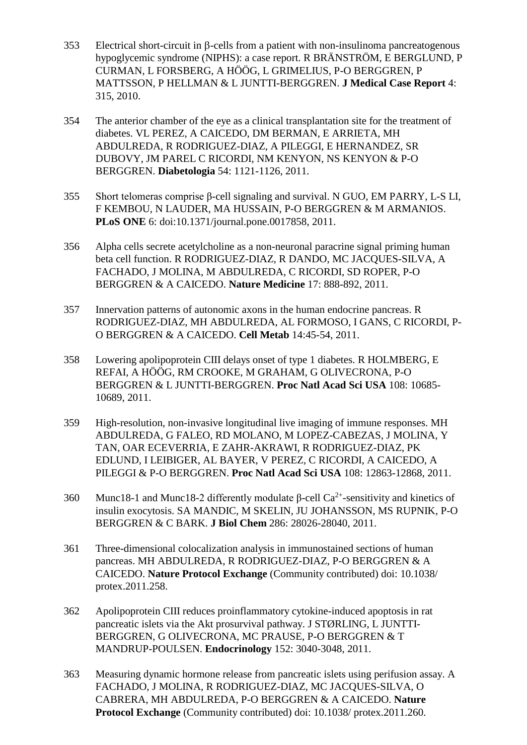- $353$  Electrical short-circuit in  $\beta$ -cells from a patient with non-insulinoma pancreatogenous hypoglycemic syndrome (NIPHS): a case report. R BRÄNSTRÖM, E BERGLUND, P CURMAN, L FORSBERG, A HÖÖG, L GRIMELIUS, P-O BERGGREN, P MATTSSON, P HELLMAN & L JUNTTI-BERGGREN. **J Medical Case Report** 4: 315, 2010.
- 354 The anterior chamber of the eye as a clinical transplantation site for the treatment of diabetes. VL PEREZ, A CAICEDO, DM BERMAN, E ARRIETA, MH ABDULREDA, R RODRIGUEZ-DIAZ, A PILEGGI, E HERNANDEZ, SR DUBOVY, JM PAREL C RICORDI, NM KENYON, NS KENYON & P-O BERGGREN. **Diabetologia** 54: 1121-1126, 2011.
- 355 Short telomeras comprise β-cell signaling and survival. N GUO, EM PARRY, L-S LI, F KEMBOU, N LAUDER, MA HUSSAIN, P-O BERGGREN & M ARMANIOS. **PLoS ONE** 6: doi:10.1371/journal.pone.0017858, 2011.
- 356 Alpha cells secrete acetylcholine as a non-neuronal paracrine signal priming human beta cell function. R RODRIGUEZ-DIAZ, R DANDO, MC JACQUES-SILVA, A FACHADO, J MOLINA, M ABDULREDA, C RICORDI, SD ROPER, P-O BERGGREN & A CAICEDO. **Nature Medicine** 17: 888-892, 2011.
- 357 Innervation patterns of autonomic axons in the human endocrine pancreas. R RODRIGUEZ-DIAZ, MH ABDULREDA, AL FORMOSO, I GANS, C RICORDI, P-O BERGGREN & A CAICEDO. **Cell Metab** 14:45-54, 2011.
- 358 Lowering apolipoprotein CIII delays onset of type 1 diabetes. R HOLMBERG, E REFAI, A HÖÖG, RM CROOKE, M GRAHAM, G OLIVECRONA, P-O BERGGREN & L JUNTTI-BERGGREN. **Proc Natl Acad Sci USA** 108: 10685- 10689, 2011.
- 359 High-resolution, non-invasive longitudinal live imaging of immune responses. MH ABDULREDA, G FALEO, RD MOLANO, M LOPEZ-CABEZAS, J MOLINA, Y TAN, OAR ECEVERRIA, E ZAHR-AKRAWI, R RODRIGUEZ-DIAZ, PK EDLUND, I LEIBIGER, AL BAYER, V PEREZ, C RICORDI, A CAICEDO, A PILEGGI & P-O BERGGREN. **Proc Natl Acad Sci USA** 108: 12863-12868, 2011.
- 360 Munc18-1 and Munc18-2 differently modulate β-cell  $Ca^{2+}$ -sensitivity and kinetics of insulin exocytosis. SA MANDIC, M SKELIN, JU JOHANSSON, MS RUPNIK, P-O BERGGREN & C BARK. **J Biol Chem** 286: 28026-28040, 2011.
- 361 Three-dimensional colocalization analysis in immunostained sections of human pancreas. MH ABDULREDA, R RODRIGUEZ-DIAZ, P-O BERGGREN & A CAICEDO. **Nature Protocol Exchange** (Community contributed) doi: 10.1038/ protex.2011.258.
- 362 Apolipoprotein CIII reduces proinflammatory cytokine-induced apoptosis in rat pancreatic islets via the Akt prosurvival pathway. J STØRLING, L JUNTTI-BERGGREN, G OLIVECRONA, MC PRAUSE, P-O BERGGREN & T MANDRUP-POULSEN. **Endocrinology** 152: 3040-3048, 2011.
- 363 Measuring dynamic hormone release from pancreatic islets using perifusion assay. A FACHADO, J MOLINA, R RODRIGUEZ-DIAZ, MC JACQUES-SILVA, O CABRERA, MH ABDULREDA, P-O BERGGREN & A CAICEDO. **Nature Protocol Exchange** (Community contributed) doi: 10.1038/ protex.2011.260.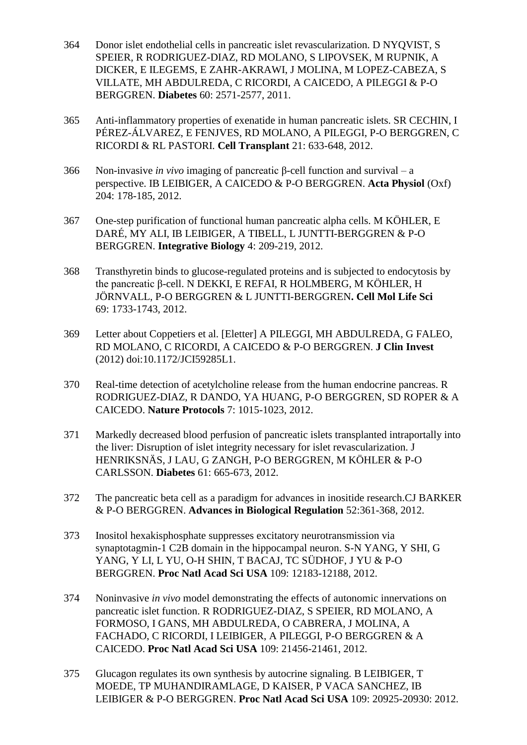- 364 Donor islet endothelial cells in pancreatic islet revascularization. D NYQVIST, S SPEIER, R RODRIGUEZ-DIAZ, RD MOLANO, S LIPOVSEK, M RUPNIK, A DICKER, E ILEGEMS, E ZAHR-AKRAWI, J MOLINA, M LOPEZ-CABEZA, S VILLATE, MH ABDULREDA, C RICORDI, A CAICEDO, A PILEGGI & P-O BERGGREN. **Diabetes** 60: 2571-2577, 2011.
- 365 Anti-inflammatory properties of exenatide in human pancreatic islets. SR CECHIN, I PÉREZ-ÁLVAREZ, E FENJVES, RD MOLANO, A PILEGGI, P-O BERGGREN, C RICORDI & RL PASTORI. **Cell Transplant** 21: 633-648, 2012.
- 366 Non-invasive *in vivo* imaging of pancreatic β-cell function and survival a perspective. IB LEIBIGER, A CAICEDO & P-O BERGGREN. **Acta Physiol** (Oxf) 204: 178-185, 2012.
- 367 One-step purification of functional human pancreatic alpha cells. M KÖHLER, E DARÉ, MY ALI, IB LEIBIGER, A TIBELL, L JUNTTI-BERGGREN & P-O BERGGREN. **Integrative Biology** 4: 209-219, 2012.
- 368 Transthyretin binds to glucose-regulated proteins and is subjected to endocytosis by the pancreatic β-cell. N DEKKI, E REFAI, R HOLMBERG, M KÖHLER, H JÖRNVALL, P-O BERGGREN & L JUNTTI-BERGGREN**. Cell Mol Life Sci** 69: 1733-1743, 2012.
- 369 Letter about Coppetiers et al. [Eletter] A PILEGGI, MH ABDULREDA, G FALEO, RD MOLANO, C RICORDI, A CAICEDO & P-O BERGGREN. **J Clin Invest** (2012) doi:10.1172/JCI59285L1.
- 370 Real-time detection of acetylcholine release from the human endocrine pancreas. R RODRIGUEZ-DIAZ, R DANDO, YA HUANG, P-O BERGGREN, SD ROPER & A CAICEDO. **Nature Protocols** 7: 1015-1023, 2012.
- 371 Markedly decreased blood perfusion of pancreatic islets transplanted intraportally into the liver: Disruption of islet integrity necessary for islet revascularization. J HENRIKSNÄS, J LAU, G ZANGH, P-O BERGGREN, M KÖHLER & P-O CARLSSON. **Diabetes** 61: 665-673, 2012.
- 372 The pancreatic beta cell as a paradigm for advances in inositide research.CJ BARKER & P-O BERGGREN. **Advances in Biological Regulation** 52:361-368, 2012.
- 373 Inositol hexakisphosphate suppresses excitatory neurotransmission via synaptotagmin-1 C2B domain in the hippocampal neuron. S-N YANG, Y SHI, G YANG, Y LI, L YU, O-H SHIN, T BACAJ, TC SÜDHOF, J YU & P-O BERGGREN. **Proc Natl Acad Sci USA** 109: 12183-12188, 2012.
- 374 Noninvasive *in vivo* model demonstrating the effects of autonomic innervations on pancreatic islet function. R RODRIGUEZ-DIAZ, S SPEIER, RD MOLANO, A FORMOSO, I GANS, MH ABDULREDA, O CABRERA, J MOLINA, A FACHADO, C RICORDI, I LEIBIGER, A PILEGGI, P-O BERGGREN & A CAICEDO. **Proc Natl Acad Sci USA** 109: 21456-21461, 2012.
- 375 Glucagon regulates its own synthesis by autocrine signaling. B LEIBIGER, T MOEDE, TP MUHANDIRAMLAGE, D KAISER, P VACA SANCHEZ, IB LEIBIGER & P-O BERGGREN. **Proc Natl Acad Sci USA** 109: 20925-20930: 2012.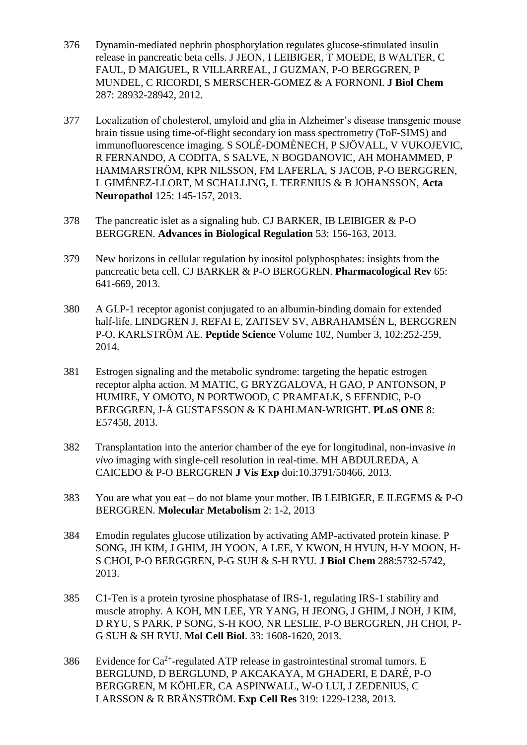- 376 Dynamin-mediated nephrin phosphorylation regulates glucose-stimulated insulin release in pancreatic beta cells. J JEON, I LEIBIGER, T MOEDE, B WALTER, C FAUL, D MAIGUEL, R VILLARREAL, J GUZMAN, P-O BERGGREN, P MUNDEL, C RICORDI, S MERSCHER-GOMEZ & A FORNONI. **J Biol Chem** 287: 28932-28942, 2012.
- 377 Localization of cholesterol, amyloid and glia in Alzheimer's disease transgenic mouse brain tissue using time-of-flight secondary ion mass spectrometry (ToF-SIMS) and immunofluorescence imaging. S SOLÉ-DOMÈNECH, P SJÖVALL, V VUKOJEVIC, R FERNANDO, A CODITA, S SALVE, N BOGDANOVIC, AH MOHAMMED, P HAMMARSTRÖM, KPR NILSSON, FM LAFERLA, S JACOB, P-O BERGGREN, L GIMÉNEZ-LLORT, M SCHALLING, L TERENIUS & B JOHANSSON, **Acta Neuropathol** 125: 145-157, 2013.
- 378 The pancreatic islet as a signaling hub. CJ BARKER, IB LEIBIGER & P-O BERGGREN. **Advances in Biological Regulation** 53: 156-163, 2013.
- 379 New horizons in cellular regulation by inositol polyphosphates: insights from the pancreatic beta cell. CJ BARKER & P-O BERGGREN. **Pharmacological Rev** 65: 641-669, 2013.
- 380 A GLP-1 receptor agonist conjugated to an albumin-binding domain for extended half-life. LINDGREN J, REFAI E, ZAITSEV SV, ABRAHAMSÉN L, BERGGREN P-O, KARLSTRÖM AE. **Peptide Science** Volume 102, Number 3, 102:252-259, 2014.
- 381 Estrogen signaling and the metabolic syndrome: targeting the hepatic estrogen receptor alpha action. M MATIC, G BRYZGALOVA, H GAO, P ANTONSON, P HUMIRE, Y OMOTO, N PORTWOOD, C PRAMFALK, S EFENDIC, P-O BERGGREN, J-Å GUSTAFSSON & K DAHLMAN-WRIGHT. **PLoS ONE** 8: E57458, 2013.
- 382 Transplantation into the anterior chamber of the eye for longitudinal, non-invasive *in vivo* imaging with single-cell resolution in real-time. MH ABDULREDA, A CAICEDO & P-O BERGGREN **J Vis Exp** doi:10.3791/50466, 2013.
- 383 You are what you eat do not blame your mother. IB LEIBIGER, E ILEGEMS & P-O BERGGREN. **Molecular Metabolism** 2: 1-2, 2013
- 384 Emodin regulates glucose utilization by activating AMP-activated protein kinase. P SONG, JH KIM, J GHIM, JH YOON, A LEE, Y KWON, H HYUN, H-Y MOON, H-S CHOI, P-O BERGGREN, P-G SUH & S-H RYU. **J Biol Chem** 288:5732-5742, 2013.
- 385 C1-Ten is a protein tyrosine phosphatase of IRS-1, regulating IRS-1 stability and muscle atrophy. A KOH, MN LEE, YR YANG, H JEONG, J GHIM, J NOH, J KIM, D RYU, S PARK, P SONG, S-H KOO, NR LESLIE, P-O BERGGREN, JH CHOI, P-G SUH & SH RYU. **Mol Cell Biol**. 33: 1608-1620, 2013.
- 386 Evidence for  $Ca^{2+}$ -regulated ATP release in gastrointestinal stromal tumors. E BERGLUND, D BERGLUND, P AKCAKAYA, M GHADERI, E DARÉ, P-O BERGGREN, M KÖHLER, CA ASPINWALL, W-O LUI, J ZEDENIUS, C LARSSON & R BRÄNSTRÖM. **Exp Cell Res** 319: 1229-1238, 2013.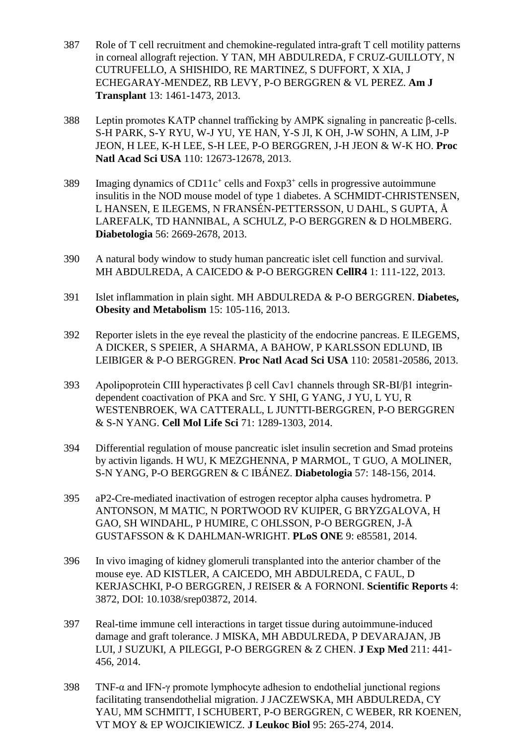- 387 Role of T cell recruitment and chemokine-regulated intra-graft T cell motility patterns in corneal allograft rejection. Y TAN, MH ABDULREDA, F CRUZ-GUILLOTY, N CUTRUFELLO, A SHISHIDO, RE MARTINEZ, S DUFFORT, X XIA, J ECHEGARAY-MENDEZ, RB LEVY, P-O BERGGREN & VL PEREZ. **Am J Transplant** 13: 1461-1473, 2013.
- 388 Leptin promotes KATP channel trafficking by AMPK signaling in pancreatic β-cells. S-H PARK, S-Y RYU, W-J YU, YE HAN, Y-S JI, K OH, J-W SOHN, A LIM, J-P JEON, H LEE, K-H LEE, S-H LEE, P-O BERGGREN, J-H JEON & W-K HO. **Proc Natl Acad Sci USA** 110: 12673-12678, 2013.
- 389 Imaging dynamics of CD11 $c^+$  cells and Foxp3<sup>+</sup> cells in progressive autoimmune insulitis in the NOD mouse model of type 1 diabetes. A SCHMIDT-CHRISTENSEN, L HANSEN, E ILEGEMS, N FRANSÉN-PETTERSSON, U DAHL, S GUPTA, Å LAREFALK, TD HANNIBAL, A SCHULZ, P-O BERGGREN & D HOLMBERG. **Diabetologia** 56: 2669-2678, 2013.
- 390 A natural body window to study human pancreatic islet cell function and survival. MH ABDULREDA, A CAICEDO & P-O BERGGREN **CellR4** 1: 111-122, 2013.
- 391 Islet inflammation in plain sight. MH ABDULREDA & P-O BERGGREN. **Diabetes, Obesity and Metabolism** 15: 105-116, 2013.
- 392 Reporter islets in the eye reveal the plasticity of the endocrine pancreas. E ILEGEMS, A DICKER, S SPEIER, A SHARMA, A BAHOW, P KARLSSON EDLUND, IB LEIBIGER & P-O BERGGREN. **Proc Natl Acad Sci USA** 110: 20581-20586, 2013.
- 393 Apolipoprotein CIII hyperactivates β cell Cav1 channels through SR-BI/β1 integrindependent coactivation of PKA and Src. Y SHI, G YANG, J YU, L YU, R WESTENBROEK, WA CATTERALL, L JUNTTI-BERGGREN, P-O BERGGREN & S-N YANG. **Cell Mol Life Sci** 71: 1289-1303, 2014.
- 394 Differential regulation of mouse pancreatic islet insulin secretion and Smad proteins by activin ligands. H WU, K MEZGHENNA, P MARMOL, T GUO, A MOLINER, S-N YANG, P-O BERGGREN & C IBÁNEZ. **Diabetologia** 57: 148-156, 2014.
- 395 aP2-Cre-mediated inactivation of estrogen receptor alpha causes hydrometra. P ANTONSON, M MATIC, N PORTWOOD RV KUIPER, G BRYZGALOVA, H GAO, SH WINDAHL, P HUMIRE, C OHLSSON, P-O BERGGREN, J-Å GUSTAFSSON & K DAHLMAN-WRIGHT. **PLoS ONE** 9: e85581, 2014.
- 396 In vivo imaging of kidney glomeruli transplanted into the anterior chamber of the mouse eye. AD KISTLER, A CAICEDO, MH ABDULREDA, C FAUL, D KERJASCHKI, P-O BERGGREN, J REISER & A FORNONI. **Scientific Reports** 4: 3872, DOI: 10.1038/srep03872, 2014.
- 397 Real-time immune cell interactions in target tissue during autoimmune-induced damage and graft tolerance. J MISKA, MH ABDULREDA, P DEVARAJAN, JB LUI, J SUZUKI, A PILEGGI, P-O BERGGREN & Z CHEN. **J Exp Med** 211: 441- 456, 2014.
- 398 TNF-α and IFN-γ promote lymphocyte adhesion to endothelial junctional regions facilitating transendothelial migration. J JACZEWSKA, MH ABDULREDA, CY YAU, MM SCHMITT, I SCHUBERT, P-O BERGGREN, C WEBER, RR KOENEN, VT MOY & EP WOJCIKIEWICZ. **J Leukoc Biol** 95: 265-274, 2014.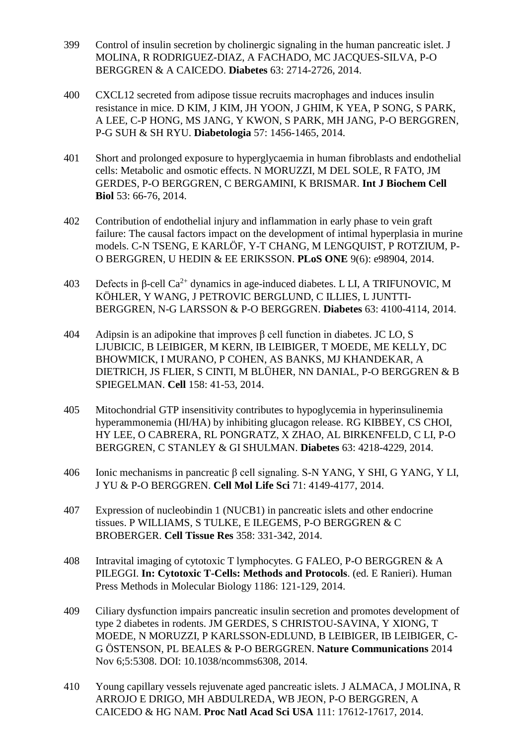- 399 Control of insulin secretion by cholinergic signaling in the human pancreatic islet. J MOLINA, R RODRIGUEZ-DIAZ, A FACHADO, MC JACQUES-SILVA, P-O BERGGREN & A CAICEDO. **Diabetes** 63: 2714-2726, 2014.
- 400 CXCL12 secreted from adipose tissue recruits macrophages and induces insulin resistance in mice. D KIM, J KIM, JH YOON, J GHIM, K YEA, P SONG, S PARK, A LEE, C-P HONG, MS JANG, Y KWON, S PARK, MH JANG, P-O BERGGREN, P-G SUH & SH RYU. **Diabetologia** 57: 1456-1465, 2014.
- 401 Short and prolonged exposure to hyperglycaemia in human fibroblasts and endothelial cells: Metabolic and osmotic effects. N MORUZZI, M DEL SOLE, R FATO, JM GERDES, P-O BERGGREN, C BERGAMINI, K BRISMAR. **Int J Biochem Cell Biol** 53: 66-76, 2014.
- 402 Contribution of endothelial injury and inflammation in early phase to vein graft failure: The causal factors impact on the development of intimal hyperplasia in murine models. C-N TSENG, E KARLÖF, Y-T CHANG, M LENGQUIST, P ROTZIUM, P-O BERGGREN, U HEDIN & EE ERIKSSON. **PLoS ONE** 9(6): e98904, 2014.
- 403 Defects in  $\beta$ -cell Ca<sup>2+</sup> dynamics in age-induced diabetes. L LI, A TRIFUNOVIC, M KÖHLER, Y WANG, J PETROVIC BERGLUND, C ILLIES, L JUNTTI-BERGGREN, N-G LARSSON & P-O BERGGREN. **Diabetes** 63: 4100-4114, 2014.
- 404 Adipsin is an adipokine that improves β cell function in diabetes. JC LO, S LJUBICIC, B LEIBIGER, M KERN, IB LEIBIGER, T MOEDE, ME KELLY, DC BHOWMICK, I MURANO, P COHEN, AS BANKS, MJ KHANDEKAR, A DIETRICH, JS FLIER, S CINTI, M BLÜHER, NN DANIAL, P-O BERGGREN & B SPIEGELMAN. **Cell** 158: 41-53, 2014.
- 405 Mitochondrial GTP insensitivity contributes to hypoglycemia in hyperinsulinemia hyperammonemia (HI/HA) by inhibiting glucagon release. RG KIBBEY, CS CHOI, HY LEE, O CABRERA, RL PONGRATZ, X ZHAO, AL BIRKENFELD, C LI, P-O BERGGREN, C STANLEY & GI SHULMAN. **Diabetes** 63: 4218-4229, 2014.
- 406 Ionic mechanisms in pancreatic β cell signaling. S-N YANG, Y SHI, G YANG, Y LI, J YU & P-O BERGGREN. **Cell Mol Life Sci** 71: 4149-4177, 2014.
- 407 Expression of nucleobindin 1 (NUCB1) in pancreatic islets and other endocrine tissues. P WILLIAMS, S TULKE, E ILEGEMS, P-O BERGGREN & C BROBERGER. **Cell Tissue Res** 358: 331-342, 2014.
- 408 Intravital imaging of cytotoxic T lymphocytes. G FALEO, P-O BERGGREN & A PILEGGI. **In: Cytotoxic T-Cells: Methods and Protocols**. (ed. E Ranieri). Human Press Methods in Molecular Biology 1186: 121-129, 2014.
- 409 Ciliary dysfunction impairs pancreatic insulin secretion and promotes development of type 2 diabetes in rodents. JM GERDES, S CHRISTOU-SAVINA, Y XIONG, T MOEDE, N MORUZZI, P KARLSSON-EDLUND, B LEIBIGER, IB LEIBIGER, C-G ÖSTENSON, PL BEALES & P-O BERGGREN. **Nature Communications** 2014 Nov 6;5:5308. DOI: 10.1038/ncomms6308, 2014.
- 410 Young capillary vessels rejuvenate aged pancreatic islets. J ALMACA, J MOLINA, R ARROJO E DRIGO, MH ABDULREDA, WB JEON, P-O BERGGREN, A CAICEDO & HG NAM. **Proc Natl Acad Sci USA** 111: 17612-17617, 2014.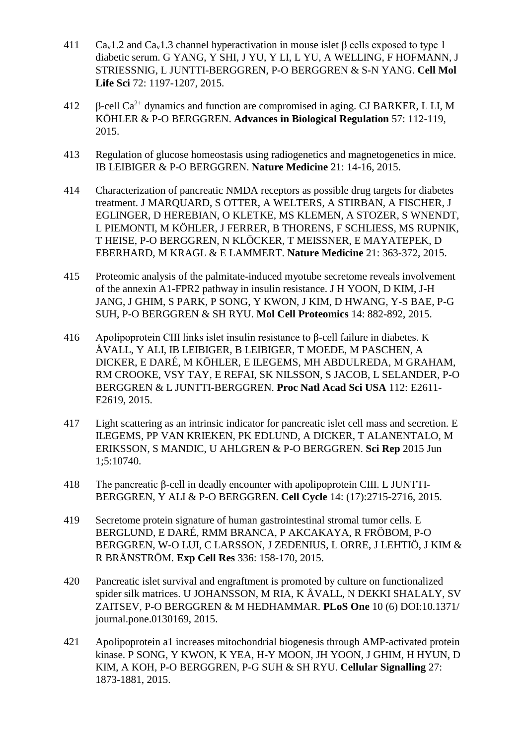- 411 Ca<sub>v</sub>1.2 and Ca<sub>v</sub>1.3 channel hyperactivation in mouse islet  $\beta$  cells exposed to type 1 diabetic serum. G YANG, Y SHI, J YU, Y LI, L YU, A WELLING, F HOFMANN, J STRIESSNIG, L JUNTTI-BERGGREN, P-O BERGGREN & S-N YANG. **Cell Mol Life Sci** 72: 1197-1207, 2015.
- 412  $\beta$ -cell Ca<sup>2+</sup> dynamics and function are compromised in aging. CJ BARKER, L LI, M KÖHLER & P-O BERGGREN. **Advances in Biological Regulation** 57: 112-119, 2015.
- 413 Regulation of glucose homeostasis using radiogenetics and magnetogenetics in mice. IB LEIBIGER & P-O BERGGREN. **Nature Medicine** 21: 14-16, 2015.
- 414 Characterization of pancreatic NMDA receptors as possible drug targets for diabetes treatment. J MARQUARD, S OTTER, A WELTERS, A STIRBAN, A FISCHER, J EGLINGER, D HEREBIAN, O KLETKE, MS KLEMEN, A STOZER, S WNENDT, L PIEMONTI, M KÖHLER, J FERRER, B THORENS, F SCHLIESS, MS RUPNIK, T HEISE, P-O BERGGREN, N KLÖCKER, T MEISSNER, E MAYATEPEK, D EBERHARD, M KRAGL & E LAMMERT. **Nature Medicine** 21: 363-372, 2015.
- 415 Proteomic analysis of the palmitate-induced myotube secretome reveals involvement of the annexin A1-FPR2 pathway in insulin resistance. J H YOON, D KIM, J-H JANG, J GHIM, S PARK, P SONG, Y KWON, J KIM, D HWANG, Y-S BAE, P-G SUH, P-O BERGGREN & SH RYU. **Mol Cell Proteomics** 14: 882-892, 2015.
- 416 Apolipoprotein CIII links islet insulin resistance to β-cell failure in diabetes. K ÅVALL, Y ALI, IB LEIBIGER, B LEIBIGER, T MOEDE, M PASCHEN, A DICKER, E DARÉ, M KÖHLER, E ILEGEMS, MH ABDULREDA, M GRAHAM, RM CROOKE, VSY TAY, E REFAI, SK NILSSON, S JACOB, L SELANDER, P-O BERGGREN & L JUNTTI-BERGGREN. **Proc Natl Acad Sci USA** 112: E2611- E2619, 2015.
- 417 Light scattering as an intrinsic indicator for pancreatic islet cell mass and secretion. E ILEGEMS, PP VAN KRIEKEN, PK EDLUND, A DICKER, T ALANENTALO, M ERIKSSON, S MANDIC, U AHLGREN & P-O BERGGREN. **Sci Rep** 2015 Jun 1;5:10740.
- 418 The pancreatic β-cell in deadly encounter with apolipoprotein CIII. L JUNTTI-BERGGREN, Y ALI & P-O BERGGREN. **Cell Cycle** 14: (17):2715-2716, 2015.
- 419 Secretome protein signature of human gastrointestinal stromal tumor cells. E BERGLUND, E DARÉ, RMM BRANCA, P AKCAKAYA, R FRÖBOM, P-O BERGGREN, W-O LUI, C LARSSON, J ZEDENIUS, L ORRE, J LEHTIÖ, J KIM & R BRÄNSTRÖM. **Exp Cell Res** 336: 158-170, 2015.
- 420 Pancreatic islet survival and engraftment is promoted by culture on functionalized spider silk matrices. U JOHANSSON, M RIA, K ÅVALL, N DEKKI SHALALY, SV ZAITSEV, P-O BERGGREN & M HEDHAMMAR. **PLoS One** 10 (6) DOI:10.1371/ journal.pone.0130169, 2015.
- 421 Apolipoprotein a1 increases mitochondrial biogenesis through AMP-activated protein kinase. P SONG, Y KWON, K YEA, H-Y MOON, JH YOON, J GHIM, H HYUN, D KIM, A KOH, P-O BERGGREN, P-G SUH & SH RYU. **Cellular Signalling** 27: 1873-1881, 2015.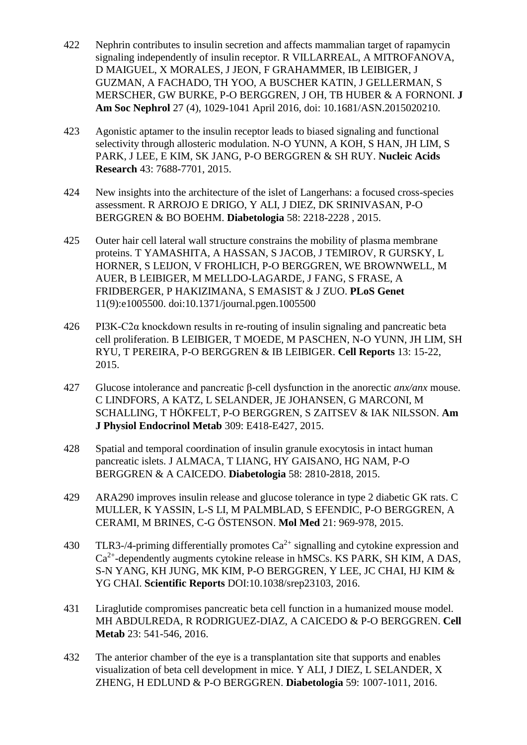- 422 Nephrin contributes to insulin secretion and affects mammalian target of rapamycin signaling independently of insulin receptor. R VILLARREAL, A MITROFANOVA, D MAIGUEL, X MORALES, J JEON, F GRAHAMMER, IB LEIBIGER, J GUZMAN, A FACHADO, TH YOO, A BUSCHER KATIN, J GELLERMAN, S MERSCHER, GW BURKE, P-O BERGGREN, J OH, TB HUBER & A FORNONI. **J Am Soc Nephrol** 27 (4), 1029-1041 April 2016, doi: 10.1681/ASN.2015020210.
- 423 Agonistic aptamer to the insulin receptor leads to biased signaling and functional selectivity through allosteric modulation. N-O YUNN, A KOH, S HAN, JH LIM, S PARK, J LEE, E KIM, SK JANG, P-O BERGGREN & SH RUY. **Nucleic Acids Research** 43: 7688-7701, 2015.
- 424 New insights into the architecture of the islet of Langerhans: a focused cross-species assessment. R ARROJO E DRIGO, Y ALI, J DIEZ, DK SRINIVASAN, P-O BERGGREN & BO BOEHM. **Diabetologia** 58: 2218-2228 , 2015.
- 425 Outer hair cell lateral wall structure constrains the mobility of plasma membrane proteins. T YAMASHITA, A HASSAN, S JACOB, J TEMIROV, R GURSKY, L HORNER, S LEIJON, V FROHLICH, P-O BERGGREN, WE BROWNWELL, M AUER, B LEIBIGER, M MELLDO-LAGARDE, J FANG, S FRASE, A FRIDBERGER, P HAKIZIMANA, S EMASIST & J ZUO. **PLoS Genet** 11(9):e1005500. doi:10.1371/journal.pgen.1005500
- 426 PI3K-C2α knockdown results in re-routing of insulin signaling and pancreatic beta cell proliferation. B LEIBIGER, T MOEDE, M PASCHEN, N-O YUNN, JH LIM, SH RYU, T PEREIRA, P-O BERGGREN & IB LEIBIGER. **Cell Reports** 13: 15-22, 2015.
- 427 Glucose intolerance and pancreatic β-cell dysfunction in the anorectic *anx/anx* mouse. C LINDFORS, A KATZ, L SELANDER, JE JOHANSEN, G MARCONI, M SCHALLING, T HÖKFELT, P-O BERGGREN, S ZAITSEV & IAK NILSSON. **Am J Physiol Endocrinol Metab** 309: E418-E427, 2015.
- 428 Spatial and temporal coordination of insulin granule exocytosis in intact human pancreatic islets. J ALMACA, T LIANG, HY GAISANO, HG NAM, P-O BERGGREN & A CAICEDO. **Diabetologia** 58: 2810-2818, 2015.
- 429 ARA290 improves insulin release and glucose tolerance in type 2 diabetic GK rats. C MULLER, K YASSIN, L-S LI, M PALMBLAD, S EFENDIC, P-O BERGGREN, A CERAMI, M BRINES, C-G ÖSTENSON. **Mol Med** 21: 969-978, 2015.
- 430 TLR3-/4-priming differentially promotes  $Ca^{2+}$  signalling and cytokine expression and  $Ca<sup>2+</sup>$ -dependently augments cytokine release in hMSCs. KS PARK, SH KIM, A DAS, S-N YANG, KH JUNG, MK KIM, P-O BERGGREN, Y LEE, JC CHAI, HJ KIM & YG CHAI. **Scientific Reports** DOI:10.1038/srep23103, 2016.
- 431 Liraglutide compromises pancreatic beta cell function in a humanized mouse model. MH ABDULREDA, R RODRIGUEZ-DIAZ, A CAICEDO & P-O BERGGREN. **Cell Metab** 23: 541-546, 2016.
- 432 The anterior chamber of the eye is a transplantation site that supports and enables visualization of beta cell development in mice. Y ALI, J DIEZ, L SELANDER, X ZHENG, H EDLUND & P-O BERGGREN. **Diabetologia** 59: 1007-1011, 2016.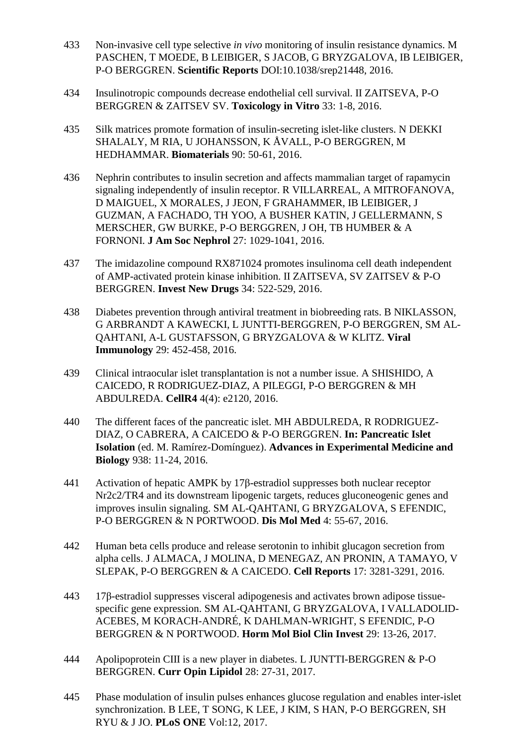- 433 Non-invasive cell type selective *in vivo* monitoring of insulin resistance dynamics. M PASCHEN, T MOEDE, B LEIBIGER, S JACOB, G BRYZGALOVA, IB LEIBIGER, P-O BERGGREN. **Scientific Reports** DOI:10.1038/srep21448, 2016.
- 434 Insulinotropic compounds decrease endothelial cell survival. II ZAITSEVA, P-O BERGGREN & ZAITSEV SV. **Toxicology in Vitro** 33: 1-8, 2016.
- 435 Silk matrices promote formation of insulin-secreting islet-like clusters. N DEKKI SHALALY, M RIA, U JOHANSSON, K ÅVALL, P-O BERGGREN, M HEDHAMMAR. **Biomaterials** 90: 50-61, 2016.
- 436 Nephrin contributes to insulin secretion and affects mammalian target of rapamycin signaling independently of insulin receptor. R VILLARREAL, A MITROFANOVA, D MAIGUEL, X MORALES, J JEON, F GRAHAMMER, IB LEIBIGER, J GUZMAN, A FACHADO, TH YOO, A BUSHER KATIN, J GELLERMANN, S MERSCHER, GW BURKE, P-O BERGGREN, J OH, TB HUMBER & A FORNONI. **J Am Soc Nephrol** 27: 1029-1041, 2016.
- 437 The imidazoline compound RX871024 promotes insulinoma cell death independent of AMP-activated protein kinase inhibition. II ZAITSEVA, SV ZAITSEV & P-O BERGGREN. **Invest New Drugs** 34: 522-529, 2016.
- 438 Diabetes prevention through antiviral treatment in biobreeding rats. B NIKLASSON, G ARBRANDT A KAWECKI, L JUNTTI-BERGGREN, P-O BERGGREN, SM AL-QAHTANI, A-L GUSTAFSSON, G BRYZGALOVA & W KLITZ. **Viral Immunology** 29: 452-458, 2016.
- 439 Clinical intraocular islet transplantation is not a number issue. A SHISHIDO, A CAICEDO, R RODRIGUEZ-DIAZ, A PILEGGI, P-O BERGGREN & MH ABDULREDA. **CellR4** 4(4): e2120, 2016.
- 440 The different faces of the pancreatic islet. MH ABDULREDA, R RODRIGUEZ-DIAZ, O CABRERA, A CAICEDO & P-O BERGGREN. **In: Pancreatic Islet Isolation** (ed. M. Ramírez-Domínguez). **Advances in Experimental Medicine and Biology** 938: 11-24, 2016.
- 441 Activation of hepatic AMPK by 17β-estradiol suppresses both nuclear receptor Nr2c2/TR4 and its downstream lipogenic targets, reduces gluconeogenic genes and improves insulin signaling. SM AL-QAHTANI, G BRYZGALOVA, S EFENDIC, P-O BERGGREN & N PORTWOOD. **Dis Mol Med** 4: 55-67, 2016.
- 442 Human beta cells produce and release serotonin to inhibit glucagon secretion from alpha cells. J ALMACA, J MOLINA, D MENEGAZ, AN PRONIN, A TAMAYO, V SLEPAK, P-O BERGGREN & A CAICEDO. **Cell Reports** 17: 3281-3291, 2016.
- 443 17β-estradiol suppresses visceral adipogenesis and activates brown adipose tissuespecific gene expression. SM AL-QAHTANI, G BRYZGALOVA, I VALLADOLID-ACEBES, M KORACH-ANDRÉ, K DAHLMAN-WRIGHT, S EFENDIC, P-O BERGGREN & N PORTWOOD. **Horm Mol Biol Clin Invest** 29: 13-26, 2017.
- 444 Apolipoprotein CIII is a new player in diabetes. L JUNTTI-BERGGREN & P-O BERGGREN. **Curr Opin Lipidol** 28: 27-31, 2017.
- 445 Phase modulation of insulin pulses enhances glucose regulation and enables inter-islet synchronization. B LEE, T SONG, K LEE, J KIM, S HAN, P-O BERGGREN, SH RYU & J JO. **PLoS ONE** Vol:12, 2017.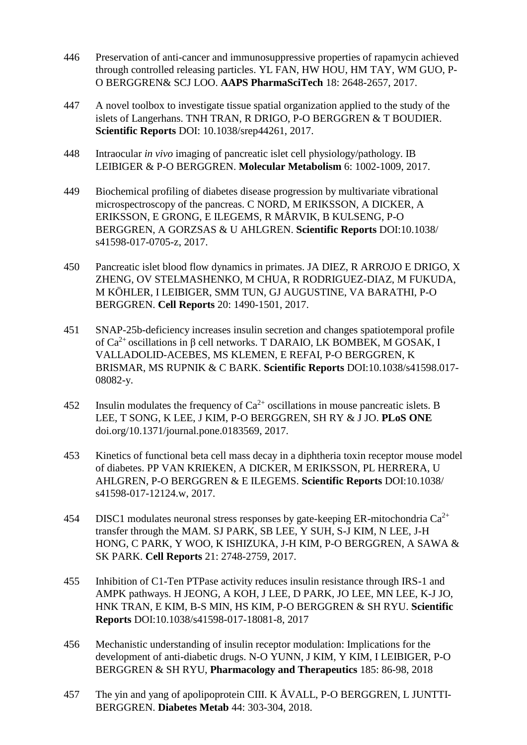- 446 Preservation of anti-cancer and immunosuppressive properties of rapamycin achieved through controlled releasing particles. YL FAN, HW HOU, HM TAY, WM GUO, P-O BERGGREN& SCJ LOO. **AAPS PharmaSciTech** 18: 2648-2657, 2017.
- 447 A novel toolbox to investigate tissue spatial organization applied to the study of the islets of Langerhans. TNH TRAN, R DRIGO, P-O BERGGREN & T BOUDIER. **Scientific Reports** DOI: 10.1038/srep44261, 2017.
- 448 Intraocular *in vivo* imaging of pancreatic islet cell physiology/pathology. IB LEIBIGER & P-O BERGGREN. **Molecular Metabolism** 6: 1002-1009, 2017.
- 449 Biochemical profiling of diabetes disease progression by multivariate vibrational microspectroscopy of the pancreas. C NORD, M ERIKSSON, A DICKER, A ERIKSSON, E GRONG, E ILEGEMS, R MÅRVIK, B KULSENG, P-O BERGGREN, A GORZSAS & U AHLGREN. **Scientific Reports** DOI:10.1038/ s41598-017-0705-z, 2017.
- 450 Pancreatic islet blood flow dynamics in primates. JA DIEZ, R ARROJO E DRIGO, X ZHENG, OV STELMASHENKO, M CHUA, R RODRIGUEZ-DIAZ, M FUKUDA, M KÖHLER, I LEIBIGER, SMM TUN, GJ AUGUSTINE, VA BARATHI, P-O BERGGREN. **Cell Reports** 20: 1490-1501, 2017.
- 451 SNAP-25b-deficiency increases insulin secretion and changes spatiotemporal profile of  $Ca<sup>2+</sup>$  oscillations in β cell networks. T DARAIO, LK BOMBEK, M GOSAK, I VALLADOLID-ACEBES, MS KLEMEN, E REFAI, P-O BERGGREN, K BRISMAR, MS RUPNIK & C BARK. **Scientific Reports** DOI:10.1038/s41598.017- 08082-y.
- 452 Insulin modulates the frequency of  $Ca^{2+}$  oscillations in mouse pancreatic islets. B LEE, T SONG, K LEE, J KIM, P-O BERGGREN, SH RY & J JO. **PLoS ONE** doi.org/10.1371/journal.pone.0183569, 2017.
- 453 Kinetics of functional beta cell mass decay in a diphtheria toxin receptor mouse model of diabetes. PP VAN KRIEKEN, A DICKER, M ERIKSSON, PL HERRERA, U AHLGREN, P-O BERGGREN & E ILEGEMS. **Scientific Reports** DOI:10.1038/ s41598-017-12124.w, 2017.
- 454 DISC1 modulates neuronal stress responses by gate-keeping ER-mitochondria  $Ca^{2+}$ transfer through the MAM. SJ PARK, SB LEE, Y SUH, S-J KIM, N LEE, J-H HONG, C PARK, Y WOO, K ISHIZUKA, J-H KIM, P-O BERGGREN, A SAWA & SK PARK. **Cell Reports** 21: 2748-2759, 2017.
- 455 Inhibition of C1-Ten PTPase activity reduces insulin resistance through IRS-1 and AMPK pathways. H JEONG, A KOH, J LEE, D PARK, JO LEE, MN LEE, K-J JO, HNK TRAN, E KIM, B-S MIN, HS KIM, P-O BERGGREN & SH RYU. **Scientific Reports** DOI:10.1038/s41598-017-18081-8, 2017
- 456 Mechanistic understanding of insulin receptor modulation: Implications for the development of anti-diabetic drugs. N-O YUNN, J KIM, Y KIM, I LEIBIGER, P-O BERGGREN & SH RYU, **Pharmacology and Therapeutics** 185: 86-98, 2018
- 457 The yin and yang of apolipoprotein CIII. K ÅVALL, P-O BERGGREN, L JUNTTI-BERGGREN. **Diabetes Metab** 44: 303-304, 2018.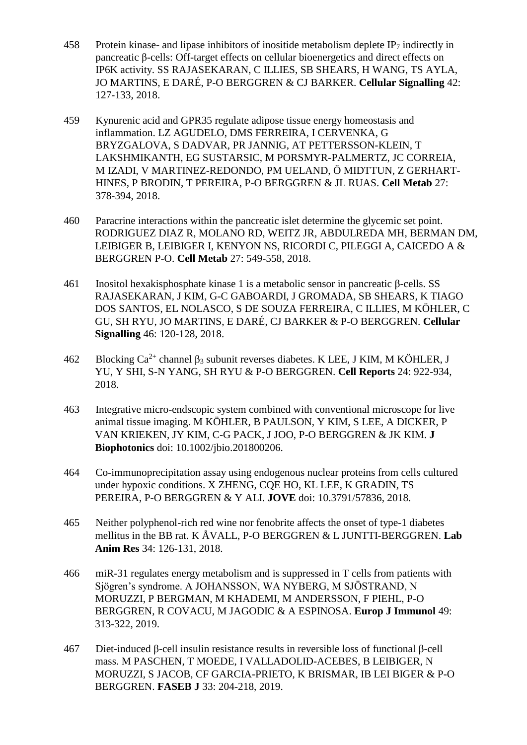- 458 Protein kinase- and lipase inhibitors of inositide metabolism deplete  $IP<sub>7</sub>$  indirectly in pancreatic β-cells: Off-target effects on cellular bioenergetics and direct effects on IP6K activity. SS RAJASEKARAN, C ILLIES, SB SHEARS, H WANG, TS AYLA, JO MARTINS, E DARÉ, P-O BERGGREN & CJ BARKER. **Cellular Signalling** 42: 127-133, 2018.
- 459 Kynurenic acid and GPR35 regulate adipose tissue energy homeostasis and inflammation. LZ AGUDELO, DMS FERREIRA, I CERVENKA, G BRYZGALOVA, S DADVAR, PR JANNIG, AT PETTERSSON-KLEIN, T LAKSHMIKANTH, EG SUSTARSIC, M PORSMYR-PALMERTZ, JC CORREIA, M IZADI, V MARTINEZ-REDONDO, PM UELAND, Ö MIDTTUN, Z GERHART-HINES, P BRODIN, T PEREIRA, P-O BERGGREN & JL RUAS. **Cell Metab** 27: 378-394, 2018.
- 460 Paracrine interactions within the pancreatic islet determine the glycemic set point. RODRIGUEZ DIAZ R, MOLANO RD, WEITZ JR, ABDULREDA MH, BERMAN DM, LEIBIGER B, LEIBIGER I, KENYON NS, RICORDI C, PILEGGI A, CAICEDO A & BERGGREN P-O. **Cell Metab** 27: 549-558, 2018.
- 461 Inositol hexakisphosphate kinase 1 is a metabolic sensor in pancreatic β-cells. SS RAJASEKARAN, J KIM, G-C GABOARDI, J GROMADA, SB SHEARS, K TIAGO DOS SANTOS, EL NOLASCO, S DE SOUZA FERREIRA, C ILLIES, M KÖHLER, C GU, SH RYU, JO MARTINS, E DARÉ, CJ BARKER & P-O BERGGREN. **Cellular Signalling** 46: 120-128, 2018.
- 462 Blocking  $Ca^{2+}$  channel  $\beta_3$  subunit reverses diabetes. K LEE, J KIM, M KÖHLER, J YU, Y SHI, S-N YANG, SH RYU & P-O BERGGREN. **Cell Reports** 24: 922-934, 2018.
- 463 Integrative micro-endscopic system combined with conventional microscope for live animal tissue imaging. M KÖHLER, B PAULSON, Y KIM, S LEE, A DICKER, P VAN KRIEKEN, JY KIM, C-G PACK, J JOO, P-O BERGGREN & JK KIM. **J Biophotonics** doi: 10.1002/jbio.201800206.
- 464 Co-immunoprecipitation assay using endogenous nuclear proteins from cells cultured under hypoxic conditions. X ZHENG, CQE HO, KL LEE, K GRADIN, TS PEREIRA, P-O BERGGREN & Y ALI. **JOVE** doi: 10.3791/57836, 2018.
- 465 Neither polyphenol-rich red wine nor fenobrite affects the onset of type-1 diabetes mellitus in the BB rat. K ÅVALL, P-O BERGGREN & L JUNTTI-BERGGREN. **Lab Anim Res** 34: 126-131, 2018.
- 466 miR-31 regulates energy metabolism and is suppressed in T cells from patients with Sjögren's syndrome. A JOHANSSON, WA NYBERG, M SJÖSTRAND, N MORUZZI, P BERGMAN, M KHADEMI, M ANDERSSON, F PIEHL, P-O BERGGREN, R COVACU, M JAGODIC & A ESPINOSA. **Europ J Immunol** 49: 313-322, 2019.
- 467 Diet-induced β-cell insulin resistance results in reversible loss of functional β-cell mass. M PASCHEN, T MOEDE, I VALLADOLID-ACEBES, B LEIBIGER, N MORUZZI, S JACOB, CF GARCIA-PRIETO, K BRISMAR, IB LEI BIGER & P-O BERGGREN. **FASEB J** 33: 204-218, 2019.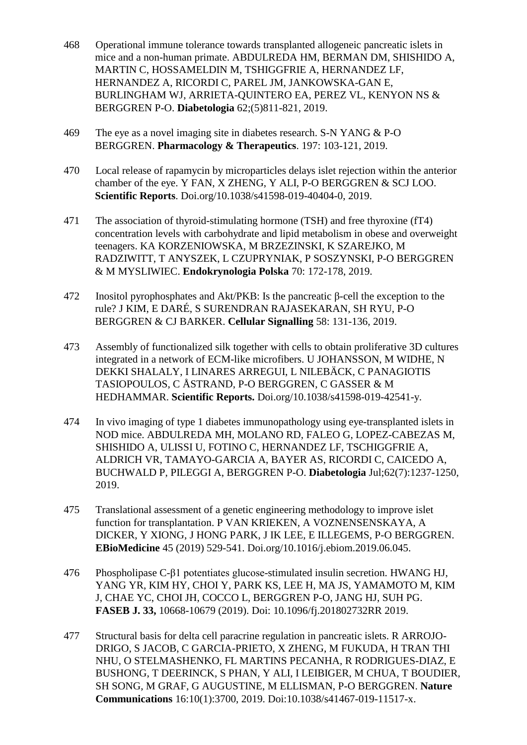- 468 Operational immune tolerance towards transplanted allogeneic pancreatic islets in mice and a non-human primate. ABDULREDA HM, BERMAN DM, SHISHIDO A, MARTIN C, HOSSAMELDIN M, TSHIGGFRIE A, HERNANDEZ LF, HERNANDEZ A, RICORDI C, PAREL JM, JANKOWSKA-GAN E, BURLINGHAM WJ, ARRIETA-QUINTERO EA, PEREZ VL, KENYON NS & BERGGREN P-O. **Diabetologia** 62;(5)811-821, 2019.
- 469 The eye as a novel imaging site in diabetes research. S-N YANG & P-O BERGGREN. **Pharmacology & Therapeutics**. 197: 103-121, 2019.
- 470 Local release of rapamycin by microparticles delays islet rejection within the anterior chamber of the eye. Y FAN, X ZHENG, Y ALI, P-O BERGGREN & SCJ LOO. **Scientific Reports**. Doi.org/10.1038/s41598-019-40404-0, 2019.
- 471 The association of thyroid-stimulating hormone (TSH) and free thyroxine (fT4) concentration levels with carbohydrate and lipid metabolism in obese and overweight teenagers. KA KORZENIOWSKA, M BRZEZINSKI, K SZAREJKO, M RADZIWITT, T ANYSZEK, L CZUPRYNIAK, P SOSZYNSKI, P-O BERGGREN & M MYSLIWIEC. **Endokrynologia Polska** 70: 172-178, 2019.
- 472 Inositol pyrophosphates and Akt/PKB: Is the pancreatic β-cell the exception to the rule? J KIM, E DARÉ, S SURENDRAN RAJASEKARAN, SH RYU, P-O BERGGREN & CJ BARKER. **Cellular Signalling** 58: 131-136, 2019.
- 473 Assembly of functionalized silk together with cells to obtain proliferative 3D cultures integrated in a network of ECM-like microfibers. U JOHANSSON, M WIDHE, N DEKKI SHALALY, I LINARES ARREGUI, L NILEBÄCK, C PANAGIOTIS TASIOPOULOS, C ÅSTRAND, P-O BERGGREN, C GASSER & M HEDHAMMAR. **Scientific Reports.** Doi.org/10.1038/s41598-019-42541-y.
- 474 In vivo imaging of type 1 diabetes immunopathology using eye-transplanted islets in NOD mice. ABDULREDA MH, MOLANO RD, FALEO G, LOPEZ-CABEZAS M, SHISHIDO A, ULISSI U, FOTINO C, HERNANDEZ LF, TSCHIGGFRIE A, ALDRICH VR, TAMAYO-GARCIA A, BAYER AS, RICORDI C, CAICEDO A, BUCHWALD P, PILEGGI A, BERGGREN P-O. **Diabetologia** Jul;62(7):1237-1250, 2019.
- 475 Translational assessment of a genetic engineering methodology to improve islet function for transplantation. P VAN KRIEKEN, A VOZNENSENSKAYA, A DICKER, Y XIONG, J HONG PARK, J IK LEE, E ILLEGEMS, P-O BERGGREN. **EBioMedicine** 45 (2019) 529-541. Doi.org/10.1016/j.ebiom.2019.06.045.
- 476 Phospholipase C-β1 potentiates glucose-stimulated insulin secretion. HWANG HJ, YANG YR, KIM HY, CHOI Y, PARK KS, LEE H, MA JS, YAMAMOTO M, KIM J, CHAE YC, CHOI JH, COCCO L, BERGGREN P-O, JANG HJ, SUH PG. **FASEB J. 33,** 10668-10679 (2019). Doi: 10.1096/fj.201802732RR 2019.
- 477 Structural basis for delta cell paracrine regulation in pancreatic islets. R ARROJO-DRIGO, S JACOB, C GARCIA-PRIETO, X ZHENG, M FUKUDA, H TRAN THI NHU, O STELMASHENKO, FL MARTINS PECANHA, R RODRIGUES-DIAZ, E BUSHONG, T DEERINCK, S PHAN, Y ALI, I LEIBIGER, M CHUA, T BOUDIER, SH SONG, M GRAF, G AUGUSTINE, M ELLISMAN, P-O BERGGREN. **Nature Communications** 16:10(1):3700, 2019. Doi:10.1038/s41467-019-11517-x.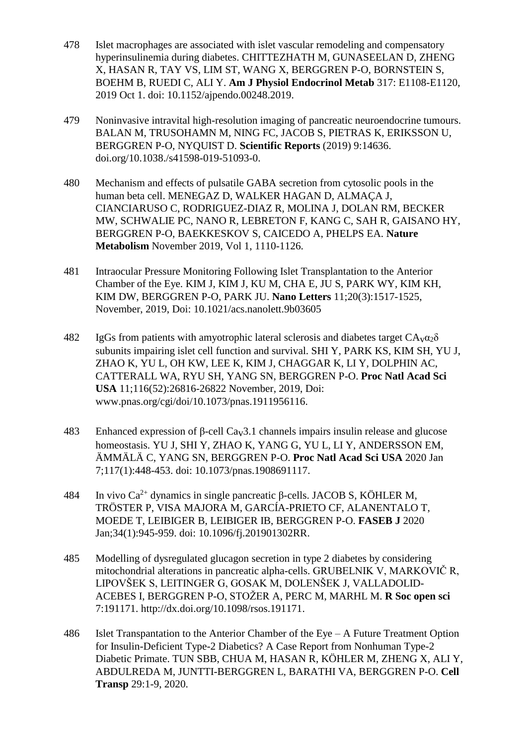- 478 Islet macrophages are associated with islet vascular remodeling and compensatory hyperinsulinemia during diabetes. CHITTEZHATH M, GUNASEELAN D, ZHENG X, HASAN R, TAY VS, LIM ST, WANG X, BERGGREN P-O, BORNSTEIN S, BOEHM B, RUEDI C, ALI Y. **Am J Physiol Endocrinol Metab** 317: E1108-E1120, 2019 Oct 1. doi: 10.1152/ajpendo.00248.2019.
- 479 Noninvasive intravital high-resolution imaging of pancreatic neuroendocrine tumours. BALAN M, TRUSOHAMN M, NING FC, JACOB S, PIETRAS K, ERIKSSON U, BERGGREN P-O, NYQUIST D. **Scientific Reports** (2019) 9:14636. doi.org/10.1038./s41598-019-51093-0.
- 480 Mechanism and effects of pulsatile GABA secretion from cytosolic pools in the human beta cell. MENEGAZ D, WALKER HAGAN D, ALMAÇA J, CIANCIARUSO C, RODRIGUEZ-DIAZ R, MOLINA J, DOLAN RM, BECKER MW, SCHWALIE PC, NANO R, LEBRETON F, KANG C, SAH R, GAISANO HY, BERGGREN P-O, BAEKKESKOV S, CAICEDO A, PHELPS EA. **Nature Metabolism** November 2019, Vol 1, 1110-1126.
- 481 Intraocular Pressure Monitoring Following Islet Transplantation to the Anterior Chamber of the Eye. KIM J, KIM J, KU M, CHA E, JU S, PARK WY, KIM KH, KIM DW, BERGGREN P-O, PARK JU. **Nano Letters** 11;20(3):1517-1525, November, 2019, Doi: 10.1021/acs.nanolett.9b03605
- 482 IgGs from patients with amyotrophic lateral sclerosis and diabetes target  $CA<sub>v</sub>α<sub>2</sub>δ$ subunits impairing islet cell function and survival. SHI Y, PARK KS, KIM SH, YU J, ZHAO K, YU L, OH KW, LEE K, KIM J, CHAGGAR K, LI Y, DOLPHIN AC, CATTERALL WA, RYU SH, YANG SN, BERGGREN P-O. **Proc Natl Acad Sci USA** 11;116(52):26816-26822 November, 2019, Doi: www.pnas.org/cgi/doi/10.1073/pnas.1911956116.
- 483 Enhanced expression of β-cell Cav3.1 channels impairs insulin release and glucose homeostasis. YU J, SHI Y, ZHAO K, YANG G, YU L, LI Y, ANDERSSON EM, ÄMMÄLÄ C, YANG SN, BERGGREN P-O. **Proc Natl Acad Sci USA** 2020 Jan 7;117(1):448-453. doi: 10.1073/pnas.1908691117.
- 484 In vivo Ca<sup>2+</sup> dynamics in single pancreatic β-cells. JACOB S, KÖHLER M, TRÖSTER P, VISA MAJORA M, GARCÍA-PRIETO CF, ALANENTALO T, MOEDE T, LEIBIGER B, LEIBIGER IB, BERGGREN P-O. **FASEB J** 2020 Jan;34(1):945-959. doi: 10.1096/fj.201901302RR.
- 485 Modelling of dysregulated glucagon secretion in type 2 diabetes by considering mitochondrial alterations in pancreatic alpha-cells. GRUBELNIK V, MARKOVIČ R, LIPOVŠEK S, LEITINGER G, GOSAK M, DOLENŠEK J, VALLADOLID-ACEBES I, BERGGREN P-O, STOŽER A, PERC M, MARHL M. **R Soc open sci** 7:191171. http://dx.doi.org/10.1098/rsos.191171.
- 486 Islet Transpantation to the Anterior Chamber of the Eye A Future Treatment Option for Insulin-Deficient Type-2 Diabetics? A Case Report from Nonhuman Type-2 Diabetic Primate. TUN SBB, CHUA M, HASAN R, KÖHLER M, ZHENG X, ALI Y, ABDULREDA M, JUNTTI-BERGGREN L, BARATHI VA, BERGGREN P-O. **Cell Transp** 29:1-9, 2020.